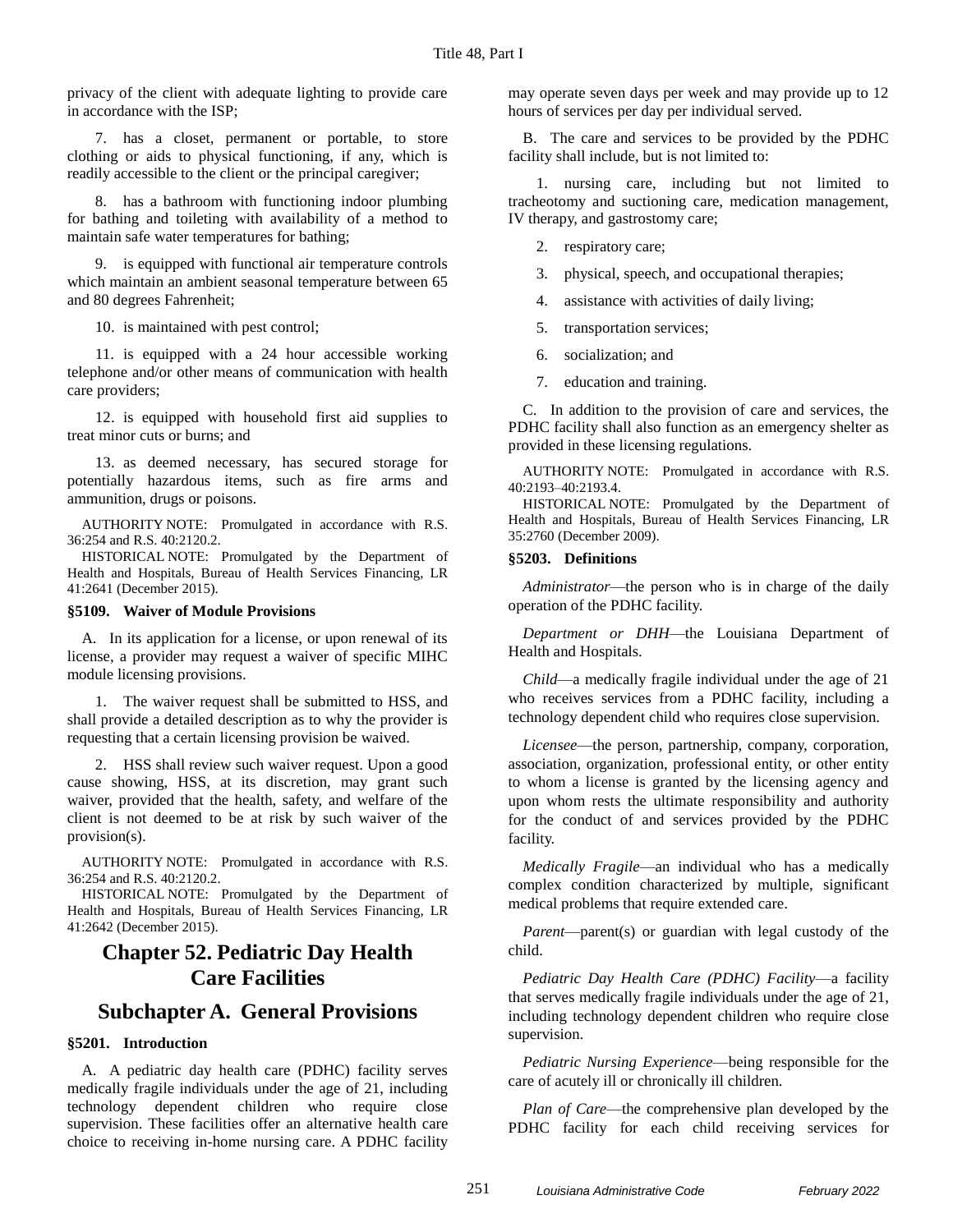privacy of the client with adequate lighting to provide care in accordance with the ISP;

7. has a closet, permanent or portable, to store clothing or aids to physical functioning, if any, which is readily accessible to the client or the principal caregiver;

8. has a bathroom with functioning indoor plumbing for bathing and toileting with availability of a method to maintain safe water temperatures for bathing;

9. is equipped with functional air temperature controls which maintain an ambient seasonal temperature between 65 and 80 degrees Fahrenheit;

10. is maintained with pest control;

11. is equipped with a 24 hour accessible working telephone and/or other means of communication with health care providers;

12. is equipped with household first aid supplies to treat minor cuts or burns; and

13. as deemed necessary, has secured storage for potentially hazardous items, such as fire arms and ammunition, drugs or poisons.

AUTHORITY NOTE: Promulgated in accordance with R.S. 36:254 and R.S. 40:2120.2.

HISTORICAL NOTE: Promulgated by the Department of Health and Hospitals, Bureau of Health Services Financing, LR 41:2641 (December 2015).

### **§5109. Waiver of Module Provisions**

A. In its application for a license, or upon renewal of its license, a provider may request a waiver of specific MIHC module licensing provisions.

1. The waiver request shall be submitted to HSS, and shall provide a detailed description as to why the provider is requesting that a certain licensing provision be waived.

2. HSS shall review such waiver request. Upon a good cause showing, HSS, at its discretion, may grant such waiver, provided that the health, safety, and welfare of the client is not deemed to be at risk by such waiver of the provision(s).

AUTHORITY NOTE: Promulgated in accordance with R.S. 36:254 and R.S. 40:2120.2.

HISTORICAL NOTE: Promulgated by the Department of Health and Hospitals, Bureau of Health Services Financing, LR 41:2642 (December 2015).

# **Chapter 52. Pediatric Day Health Care Facilities**

# **Subchapter A. General Provisions**

## **§5201. Introduction**

A. A pediatric day health care (PDHC) facility serves medically fragile individuals under the age of 21, including technology dependent children who require close supervision. These facilities offer an alternative health care choice to receiving in-home nursing care. A PDHC facility

may operate seven days per week and may provide up to 12 hours of services per day per individual served.

B. The care and services to be provided by the PDHC facility shall include, but is not limited to:

1. nursing care, including but not limited to tracheotomy and suctioning care, medication management, IV therapy, and gastrostomy care;

- 2. respiratory care;
- 3. physical, speech, and occupational therapies;
- 4. assistance with activities of daily living;
- 5. transportation services;
- 6. socialization; and
- 7. education and training.

C. In addition to the provision of care and services, the PDHC facility shall also function as an emergency shelter as provided in these licensing regulations.

AUTHORITY NOTE: Promulgated in accordance with R.S. 40:2193–40:2193.4.

HISTORICAL NOTE: Promulgated by the Department of Health and Hospitals, Bureau of Health Services Financing, LR 35:2760 (December 2009).

### **§5203. Definitions**

*Administrator*—the person who is in charge of the daily operation of the PDHC facility.

*Department or DHH*—the Louisiana Department of Health and Hospitals.

*Child*—a medically fragile individual under the age of 21 who receives services from a PDHC facility, including a technology dependent child who requires close supervision.

*Licensee*—the person, partnership, company, corporation, association, organization, professional entity, or other entity to whom a license is granted by the licensing agency and upon whom rests the ultimate responsibility and authority for the conduct of and services provided by the PDHC facility.

*Medically Fragile*—an individual who has a medically complex condition characterized by multiple, significant medical problems that require extended care.

*Parent*—parent(s) or guardian with legal custody of the child.

*Pediatric Day Health Care (PDHC) Facility*—a facility that serves medically fragile individuals under the age of 21, including technology dependent children who require close supervision.

*Pediatric Nursing Experience*—being responsible for the care of acutely ill or chronically ill children.

*Plan of Care*—the comprehensive plan developed by the PDHC facility for each child receiving services for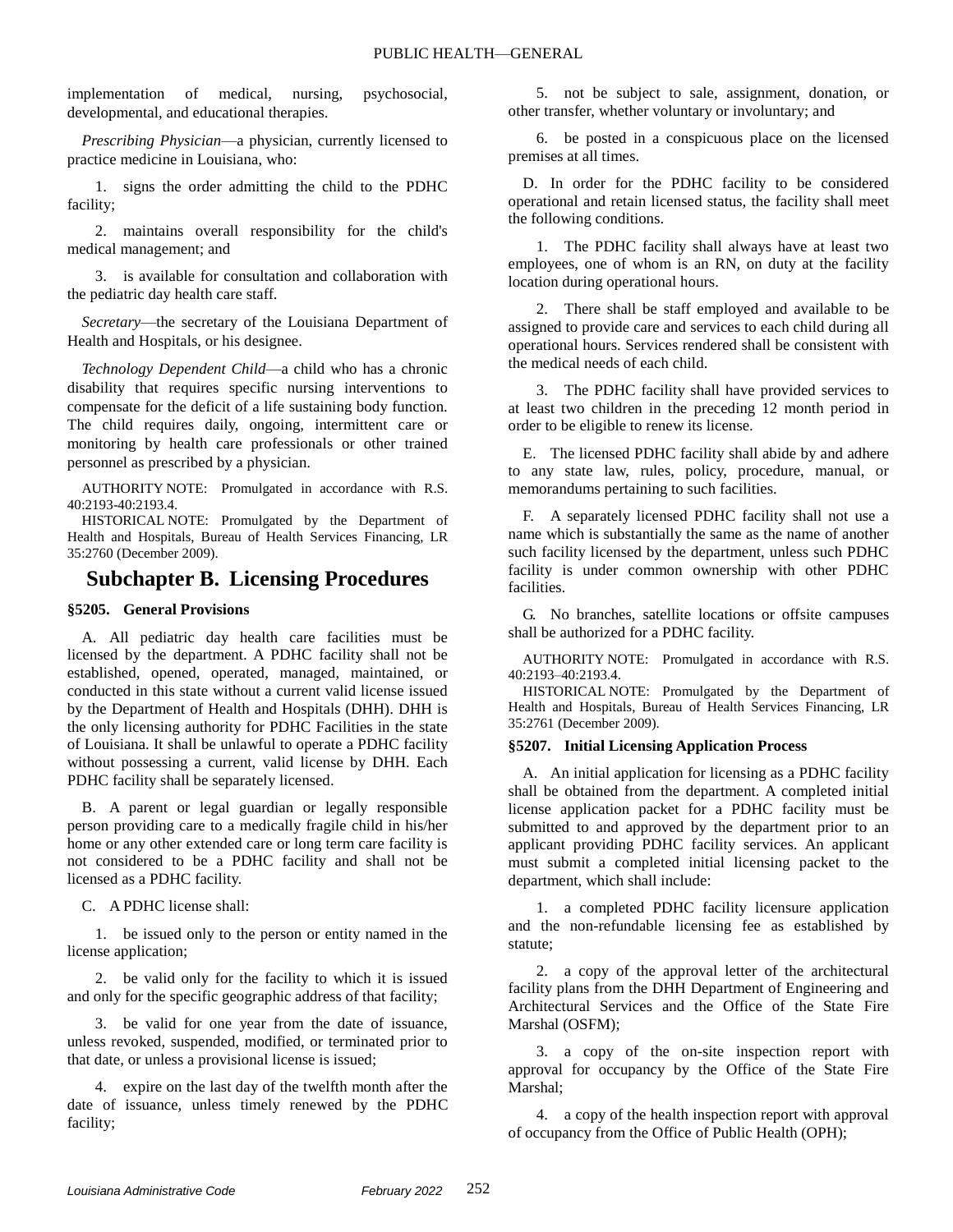implementation of medical, nursing, psychosocial, developmental, and educational therapies.

*Prescribing Physician*—a physician, currently licensed to practice medicine in Louisiana, who:

1. signs the order admitting the child to the PDHC facility;

2. maintains overall responsibility for the child's medical management; and

3. is available for consultation and collaboration with the pediatric day health care staff.

*Secretary*—the secretary of the Louisiana Department of Health and Hospitals, or his designee.

*Technology Dependent Child*—a child who has a chronic disability that requires specific nursing interventions to compensate for the deficit of a life sustaining body function. The child requires daily, ongoing, intermittent care or monitoring by health care professionals or other trained personnel as prescribed by a physician.

AUTHORITY NOTE: Promulgated in accordance with R.S. 40:2193-40:2193.4.

HISTORICAL NOTE: Promulgated by the Department of Health and Hospitals, Bureau of Health Services Financing, LR 35:2760 (December 2009).

## **Subchapter B. Licensing Procedures**

## **§5205. General Provisions**

A. All pediatric day health care facilities must be licensed by the department. A PDHC facility shall not be established, opened, operated, managed, maintained, or conducted in this state without a current valid license issued by the Department of Health and Hospitals (DHH). DHH is the only licensing authority for PDHC Facilities in the state of Louisiana. It shall be unlawful to operate a PDHC facility without possessing a current, valid license by DHH. Each PDHC facility shall be separately licensed.

B. A parent or legal guardian or legally responsible person providing care to a medically fragile child in his/her home or any other extended care or long term care facility is not considered to be a PDHC facility and shall not be licensed as a PDHC facility.

C. A PDHC license shall:

1. be issued only to the person or entity named in the license application;

2. be valid only for the facility to which it is issued and only for the specific geographic address of that facility;

3. be valid for one year from the date of issuance, unless revoked, suspended, modified, or terminated prior to that date, or unless a provisional license is issued;

4. expire on the last day of the twelfth month after the date of issuance, unless timely renewed by the PDHC facility;

5. not be subject to sale, assignment, donation, or other transfer, whether voluntary or involuntary; and

6. be posted in a conspicuous place on the licensed premises at all times.

D. In order for the PDHC facility to be considered operational and retain licensed status, the facility shall meet the following conditions.

1. The PDHC facility shall always have at least two employees, one of whom is an RN, on duty at the facility location during operational hours.

2. There shall be staff employed and available to be assigned to provide care and services to each child during all operational hours. Services rendered shall be consistent with the medical needs of each child.

3. The PDHC facility shall have provided services to at least two children in the preceding 12 month period in order to be eligible to renew its license.

E. The licensed PDHC facility shall abide by and adhere to any state law, rules, policy, procedure, manual, or memorandums pertaining to such facilities.

F. A separately licensed PDHC facility shall not use a name which is substantially the same as the name of another such facility licensed by the department, unless such PDHC facility is under common ownership with other PDHC facilities.

G. No branches, satellite locations or offsite campuses shall be authorized for a PDHC facility.

AUTHORITY NOTE: Promulgated in accordance with R.S. 40:2193–40:2193.4.

HISTORICAL NOTE: Promulgated by the Department of Health and Hospitals, Bureau of Health Services Financing, LR 35:2761 (December 2009).

## **§5207. Initial Licensing Application Process**

A. An initial application for licensing as a PDHC facility shall be obtained from the department. A completed initial license application packet for a PDHC facility must be submitted to and approved by the department prior to an applicant providing PDHC facility services. An applicant must submit a completed initial licensing packet to the department, which shall include:

1. a completed PDHC facility licensure application and the non-refundable licensing fee as established by statute;

2. a copy of the approval letter of the architectural facility plans from the DHH Department of Engineering and Architectural Services and the Office of the State Fire Marshal (OSFM);

3. a copy of the on-site inspection report with approval for occupancy by the Office of the State Fire Marshal;

4. a copy of the health inspection report with approval of occupancy from the Office of Public Health (OPH);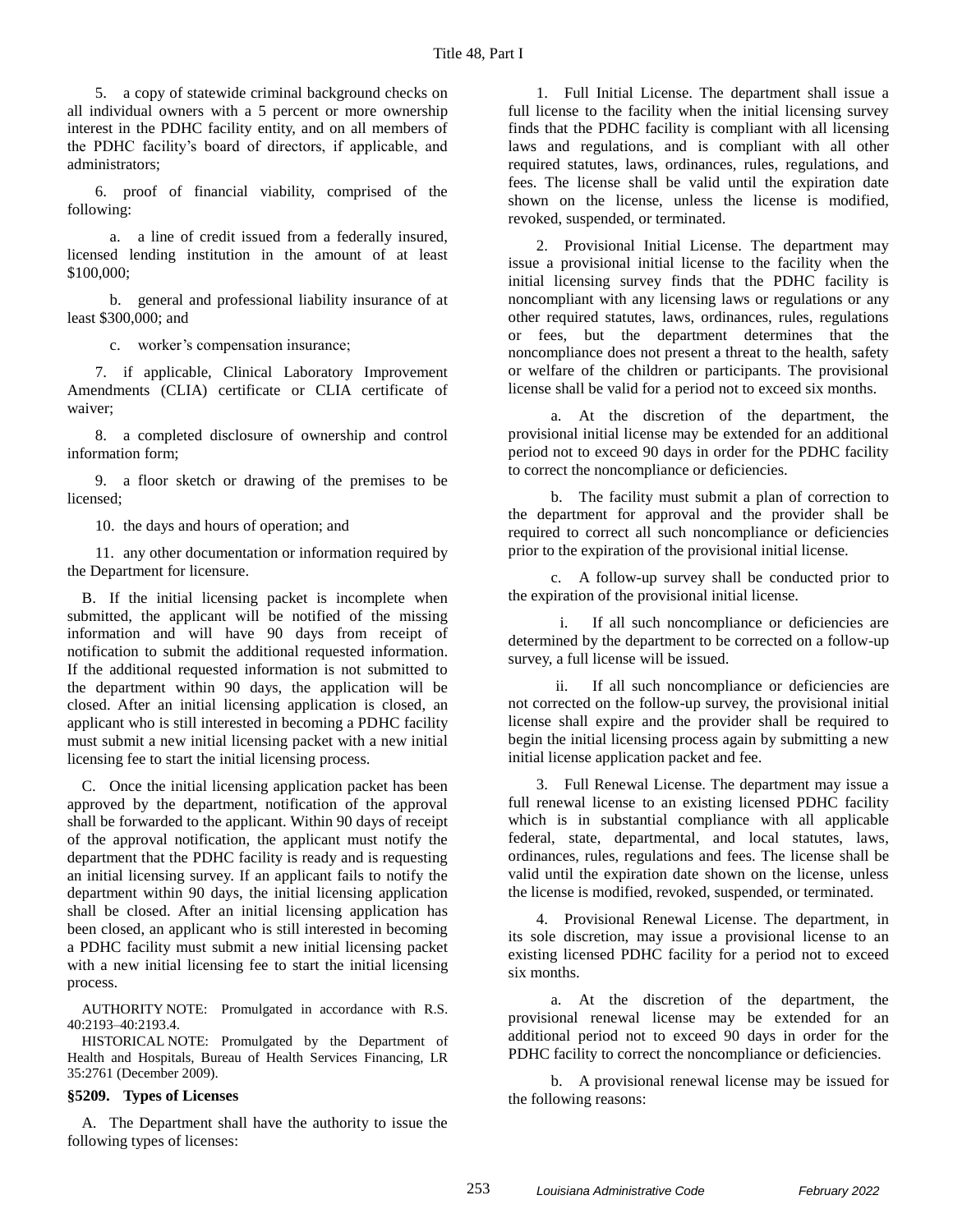5. a copy of statewide criminal background checks on all individual owners with a 5 percent or more ownership interest in the PDHC facility entity, and on all members of the PDHC facility's board of directors, if applicable, and administrators;

6. proof of financial viability, comprised of the following:

a. a line of credit issued from a federally insured, licensed lending institution in the amount of at least \$100,000;

b. general and professional liability insurance of at least \$300,000; and

c. worker's compensation insurance;

7. if applicable, Clinical Laboratory Improvement Amendments (CLIA) certificate or CLIA certificate of waiver;

8. a completed disclosure of ownership and control information form;

9. a floor sketch or drawing of the premises to be licensed;

10. the days and hours of operation; and

11. any other documentation or information required by the Department for licensure.

B. If the initial licensing packet is incomplete when submitted, the applicant will be notified of the missing information and will have 90 days from receipt of notification to submit the additional requested information. If the additional requested information is not submitted to the department within 90 days, the application will be closed. After an initial licensing application is closed, an applicant who is still interested in becoming a PDHC facility must submit a new initial licensing packet with a new initial licensing fee to start the initial licensing process.

C. Once the initial licensing application packet has been approved by the department, notification of the approval shall be forwarded to the applicant. Within 90 days of receipt of the approval notification, the applicant must notify the department that the PDHC facility is ready and is requesting an initial licensing survey. If an applicant fails to notify the department within 90 days, the initial licensing application shall be closed. After an initial licensing application has been closed, an applicant who is still interested in becoming a PDHC facility must submit a new initial licensing packet with a new initial licensing fee to start the initial licensing process.

AUTHORITY NOTE: Promulgated in accordance with R.S. 40:2193–40:2193.4.

HISTORICAL NOTE: Promulgated by the Department of Health and Hospitals, Bureau of Health Services Financing, LR 35:2761 (December 2009).

#### **§5209. Types of Licenses**

A. The Department shall have the authority to issue the following types of licenses:

1. Full Initial License. The department shall issue a full license to the facility when the initial licensing survey finds that the PDHC facility is compliant with all licensing laws and regulations, and is compliant with all other required statutes, laws, ordinances, rules, regulations, and fees. The license shall be valid until the expiration date shown on the license, unless the license is modified, revoked, suspended, or terminated.

2. Provisional Initial License. The department may issue a provisional initial license to the facility when the initial licensing survey finds that the PDHC facility is noncompliant with any licensing laws or regulations or any other required statutes, laws, ordinances, rules, regulations or fees, but the department determines that the noncompliance does not present a threat to the health, safety or welfare of the children or participants. The provisional license shall be valid for a period not to exceed six months.

a. At the discretion of the department, the provisional initial license may be extended for an additional period not to exceed 90 days in order for the PDHC facility to correct the noncompliance or deficiencies.

b. The facility must submit a plan of correction to the department for approval and the provider shall be required to correct all such noncompliance or deficiencies prior to the expiration of the provisional initial license.

c. A follow-up survey shall be conducted prior to the expiration of the provisional initial license.

i. If all such noncompliance or deficiencies are determined by the department to be corrected on a follow-up survey, a full license will be issued.

ii. If all such noncompliance or deficiencies are not corrected on the follow-up survey, the provisional initial license shall expire and the provider shall be required to begin the initial licensing process again by submitting a new initial license application packet and fee.

3. Full Renewal License. The department may issue a full renewal license to an existing licensed PDHC facility which is in substantial compliance with all applicable federal, state, departmental, and local statutes, laws, ordinances, rules, regulations and fees. The license shall be valid until the expiration date shown on the license, unless the license is modified, revoked, suspended, or terminated.

4. Provisional Renewal License. The department, in its sole discretion, may issue a provisional license to an existing licensed PDHC facility for a period not to exceed six months.

a. At the discretion of the department, the provisional renewal license may be extended for an additional period not to exceed 90 days in order for the PDHC facility to correct the noncompliance or deficiencies.

b. A provisional renewal license may be issued for the following reasons: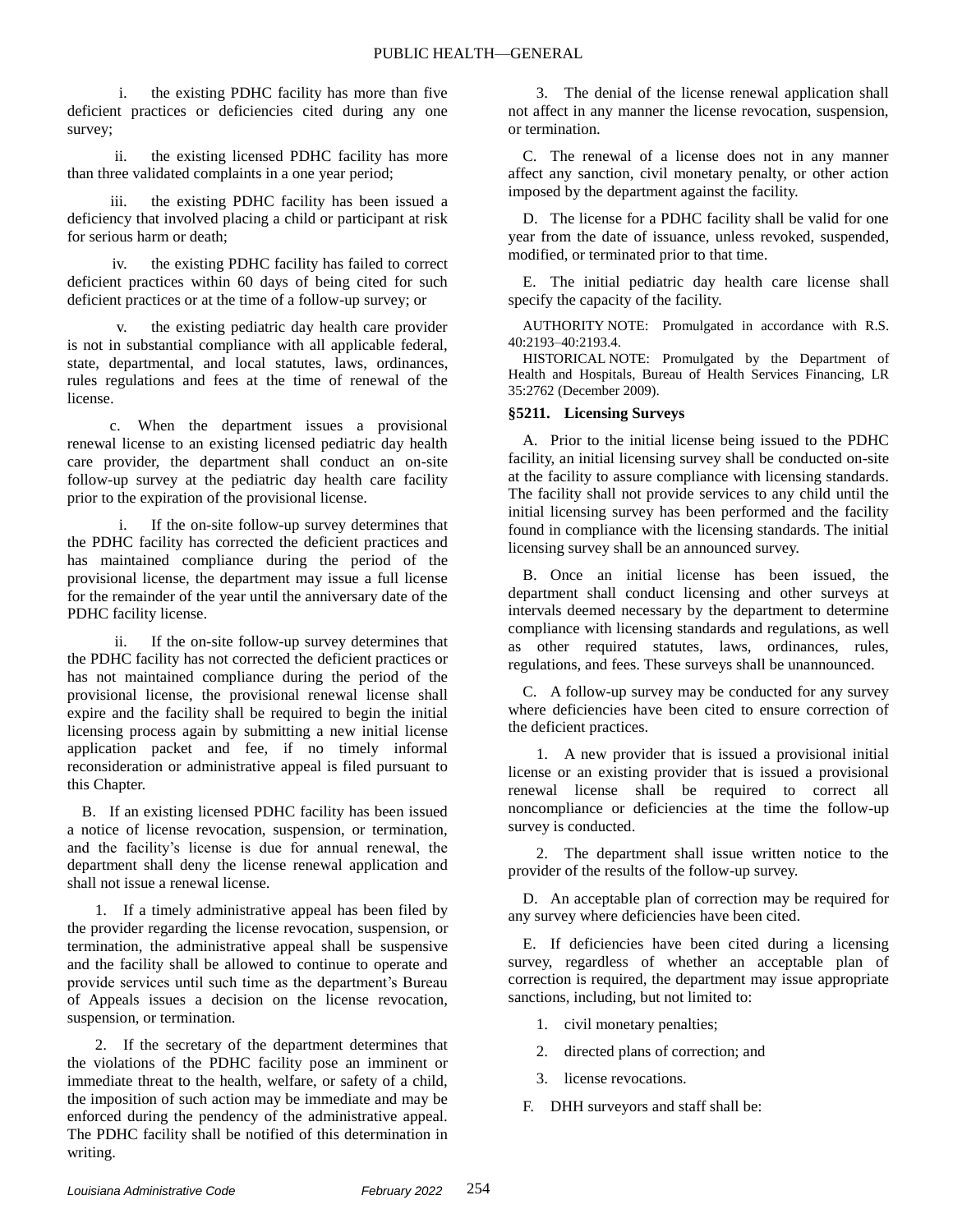i. the existing PDHC facility has more than five deficient practices or deficiencies cited during any one survey;

ii. the existing licensed PDHC facility has more than three validated complaints in a one year period;

iii. the existing PDHC facility has been issued a deficiency that involved placing a child or participant at risk for serious harm or death;

iv. the existing PDHC facility has failed to correct deficient practices within 60 days of being cited for such deficient practices or at the time of a follow-up survey; or

v. the existing pediatric day health care provider is not in substantial compliance with all applicable federal, state, departmental, and local statutes, laws, ordinances, rules regulations and fees at the time of renewal of the license.

c. When the department issues a provisional renewal license to an existing licensed pediatric day health care provider, the department shall conduct an on-site follow-up survey at the pediatric day health care facility prior to the expiration of the provisional license.

If the on-site follow-up survey determines that the PDHC facility has corrected the deficient practices and has maintained compliance during the period of the provisional license, the department may issue a full license for the remainder of the year until the anniversary date of the PDHC facility license.

ii. If the on-site follow-up survey determines that the PDHC facility has not corrected the deficient practices or has not maintained compliance during the period of the provisional license, the provisional renewal license shall expire and the facility shall be required to begin the initial licensing process again by submitting a new initial license application packet and fee, if no timely informal reconsideration or administrative appeal is filed pursuant to this Chapter.

B. If an existing licensed PDHC facility has been issued a notice of license revocation, suspension, or termination, and the facility's license is due for annual renewal, the department shall deny the license renewal application and shall not issue a renewal license.

1. If a timely administrative appeal has been filed by the provider regarding the license revocation, suspension, or termination, the administrative appeal shall be suspensive and the facility shall be allowed to continue to operate and provide services until such time as the department's Bureau of Appeals issues a decision on the license revocation, suspension, or termination.

2. If the secretary of the department determines that the violations of the PDHC facility pose an imminent or immediate threat to the health, welfare, or safety of a child, the imposition of such action may be immediate and may be enforced during the pendency of the administrative appeal. The PDHC facility shall be notified of this determination in writing.

3. The denial of the license renewal application shall not affect in any manner the license revocation, suspension, or termination.

C. The renewal of a license does not in any manner affect any sanction, civil monetary penalty, or other action imposed by the department against the facility.

D. The license for a PDHC facility shall be valid for one year from the date of issuance, unless revoked, suspended, modified, or terminated prior to that time.

E. The initial pediatric day health care license shall specify the capacity of the facility.

AUTHORITY NOTE: Promulgated in accordance with R.S. 40:2193–40:2193.4.

HISTORICAL NOTE: Promulgated by the Department of Health and Hospitals, Bureau of Health Services Financing, LR 35:2762 (December 2009).

## **§5211. Licensing Surveys**

A. Prior to the initial license being issued to the PDHC facility, an initial licensing survey shall be conducted on-site at the facility to assure compliance with licensing standards. The facility shall not provide services to any child until the initial licensing survey has been performed and the facility found in compliance with the licensing standards. The initial licensing survey shall be an announced survey.

B. Once an initial license has been issued, the department shall conduct licensing and other surveys at intervals deemed necessary by the department to determine compliance with licensing standards and regulations, as well as other required statutes, laws, ordinances, rules, regulations, and fees. These surveys shall be unannounced.

C. A follow-up survey may be conducted for any survey where deficiencies have been cited to ensure correction of the deficient practices.

1. A new provider that is issued a provisional initial license or an existing provider that is issued a provisional renewal license shall be required to correct all noncompliance or deficiencies at the time the follow-up survey is conducted.

2. The department shall issue written notice to the provider of the results of the follow-up survey.

D. An acceptable plan of correction may be required for any survey where deficiencies have been cited.

E. If deficiencies have been cited during a licensing survey, regardless of whether an acceptable plan of correction is required, the department may issue appropriate sanctions, including, but not limited to:

- 1. civil monetary penalties;
- 2. directed plans of correction; and
- 3. license revocations.
- F. DHH surveyors and staff shall be: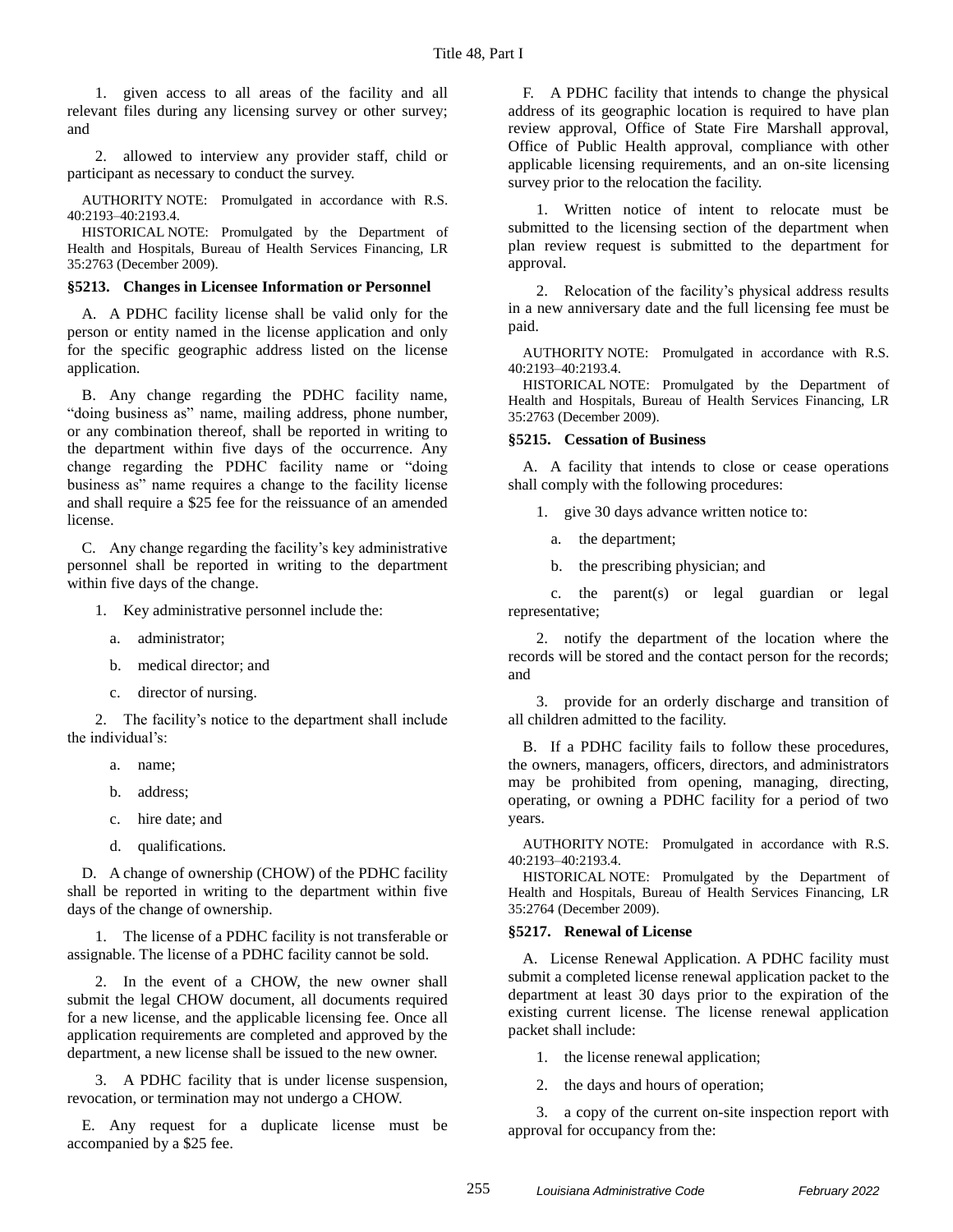1. given access to all areas of the facility and all relevant files during any licensing survey or other survey; and

2. allowed to interview any provider staff, child or participant as necessary to conduct the survey.

AUTHORITY NOTE: Promulgated in accordance with R.S. 40:2193–40:2193.4.

HISTORICAL NOTE: Promulgated by the Department of Health and Hospitals, Bureau of Health Services Financing, LR 35:2763 (December 2009).

#### **§5213. Changes in Licensee Information or Personnel**

A. A PDHC facility license shall be valid only for the person or entity named in the license application and only for the specific geographic address listed on the license application.

B. Any change regarding the PDHC facility name, "doing business as" name, mailing address, phone number, or any combination thereof, shall be reported in writing to the department within five days of the occurrence. Any change regarding the PDHC facility name or "doing business as" name requires a change to the facility license and shall require a \$25 fee for the reissuance of an amended license.

C. Any change regarding the facility's key administrative personnel shall be reported in writing to the department within five days of the change.

1. Key administrative personnel include the:

- a. administrator;
- b. medical director; and
- c. director of nursing.

2. The facility's notice to the department shall include the individual's:

- a. name;
- b. address;
- c. hire date; and
- d. qualifications.

D. A change of ownership (CHOW) of the PDHC facility shall be reported in writing to the department within five days of the change of ownership.

1. The license of a PDHC facility is not transferable or assignable. The license of a PDHC facility cannot be sold.

2. In the event of a CHOW, the new owner shall submit the legal CHOW document, all documents required for a new license, and the applicable licensing fee. Once all application requirements are completed and approved by the department, a new license shall be issued to the new owner.

3. A PDHC facility that is under license suspension, revocation, or termination may not undergo a CHOW.

E. Any request for a duplicate license must be accompanied by a \$25 fee.

F. A PDHC facility that intends to change the physical address of its geographic location is required to have plan review approval, Office of State Fire Marshall approval, Office of Public Health approval, compliance with other applicable licensing requirements, and an on-site licensing survey prior to the relocation the facility.

1. Written notice of intent to relocate must be submitted to the licensing section of the department when plan review request is submitted to the department for approval.

2. Relocation of the facility's physical address results in a new anniversary date and the full licensing fee must be paid.

AUTHORITY NOTE: Promulgated in accordance with R.S. 40:2193–40:2193.4.

HISTORICAL NOTE: Promulgated by the Department of Health and Hospitals, Bureau of Health Services Financing, LR 35:2763 (December 2009).

### **§5215. Cessation of Business**

A. A facility that intends to close or cease operations shall comply with the following procedures:

1. give 30 days advance written notice to:

- a. the department;
- b. the prescribing physician; and

c. the parent(s) or legal guardian or legal representative;

2. notify the department of the location where the records will be stored and the contact person for the records; and

3. provide for an orderly discharge and transition of all children admitted to the facility.

B. If a PDHC facility fails to follow these procedures, the owners, managers, officers, directors, and administrators may be prohibited from opening, managing, directing, operating, or owning a PDHC facility for a period of two years.

AUTHORITY NOTE: Promulgated in accordance with R.S. 40:2193–40:2193.4.

HISTORICAL NOTE: Promulgated by the Department of Health and Hospitals, Bureau of Health Services Financing, LR 35:2764 (December 2009).

## **§5217. Renewal of License**

A. License Renewal Application. A PDHC facility must submit a completed license renewal application packet to the department at least 30 days prior to the expiration of the existing current license. The license renewal application packet shall include:

1. the license renewal application;

2. the days and hours of operation;

3. a copy of the current on-site inspection report with approval for occupancy from the: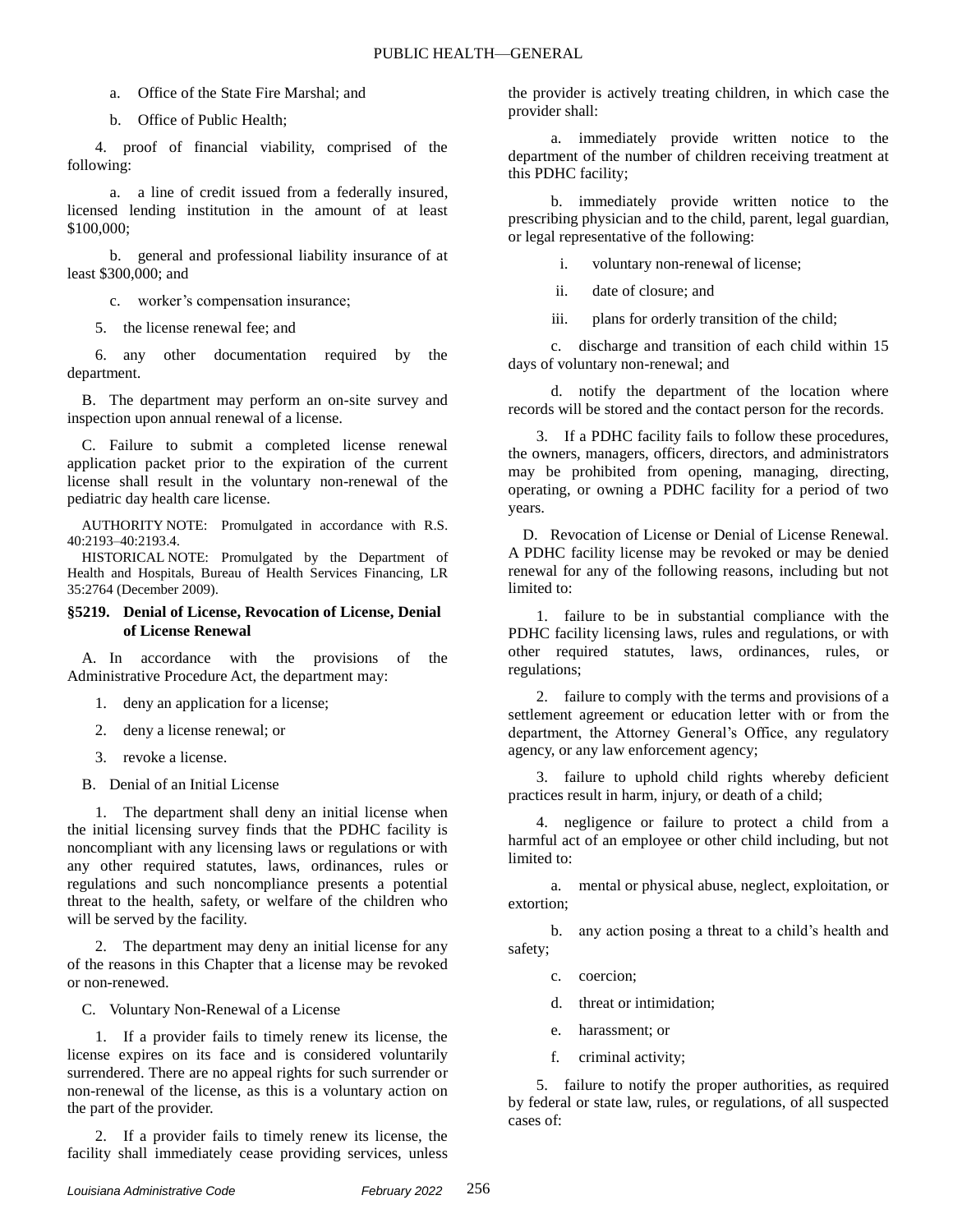- a. Office of the State Fire Marshal; and
- b. Office of Public Health;

4. proof of financial viability, comprised of the following:

a. a line of credit issued from a federally insured, licensed lending institution in the amount of at least \$100,000;

b. general and professional liability insurance of at least \$300,000; and

c. worker's compensation insurance;

5. the license renewal fee; and

6. any other documentation required by the department.

B. The department may perform an on-site survey and inspection upon annual renewal of a license.

C. Failure to submit a completed license renewal application packet prior to the expiration of the current license shall result in the voluntary non-renewal of the pediatric day health care license.

AUTHORITY NOTE: Promulgated in accordance with R.S. 40:2193–40:2193.4.

HISTORICAL NOTE: Promulgated by the Department of Health and Hospitals, Bureau of Health Services Financing, LR 35:2764 (December 2009).

#### **§5219. Denial of License, Revocation of License, Denial of License Renewal**

A. In accordance with the provisions of the Administrative Procedure Act, the department may:

- 1. deny an application for a license;
- 2. deny a license renewal; or
- 3. revoke a license.

B. Denial of an Initial License

1. The department shall deny an initial license when the initial licensing survey finds that the PDHC facility is noncompliant with any licensing laws or regulations or with any other required statutes, laws, ordinances, rules or regulations and such noncompliance presents a potential threat to the health, safety, or welfare of the children who will be served by the facility.

2. The department may deny an initial license for any of the reasons in this Chapter that a license may be revoked or non-renewed.

C. Voluntary Non-Renewal of a License

1. If a provider fails to timely renew its license, the license expires on its face and is considered voluntarily surrendered. There are no appeal rights for such surrender or non-renewal of the license, as this is a voluntary action on the part of the provider.

2. If a provider fails to timely renew its license, the facility shall immediately cease providing services, unless

the provider is actively treating children, in which case the provider shall:

a. immediately provide written notice to the department of the number of children receiving treatment at this PDHC facility;

b. immediately provide written notice to the prescribing physician and to the child, parent, legal guardian, or legal representative of the following:

i. voluntary non-renewal of license;

ii. date of closure; and

iii. plans for orderly transition of the child;

c. discharge and transition of each child within 15 days of voluntary non-renewal; and

d. notify the department of the location where records will be stored and the contact person for the records.

3. If a PDHC facility fails to follow these procedures, the owners, managers, officers, directors, and administrators may be prohibited from opening, managing, directing, operating, or owning a PDHC facility for a period of two years.

D. Revocation of License or Denial of License Renewal. A PDHC facility license may be revoked or may be denied renewal for any of the following reasons, including but not limited to:

1. failure to be in substantial compliance with the PDHC facility licensing laws, rules and regulations, or with other required statutes, laws, ordinances, rules, or regulations;

2. failure to comply with the terms and provisions of a settlement agreement or education letter with or from the department, the Attorney General's Office, any regulatory agency, or any law enforcement agency;

3. failure to uphold child rights whereby deficient practices result in harm, injury, or death of a child;

4. negligence or failure to protect a child from a harmful act of an employee or other child including, but not limited to:

a. mental or physical abuse, neglect, exploitation, or extortion;

b. any action posing a threat to a child's health and safety;

- c. coercion;
- d. threat or intimidation;
- e. harassment; or
- f. criminal activity;

5. failure to notify the proper authorities, as required by federal or state law, rules, or regulations, of all suspected cases of: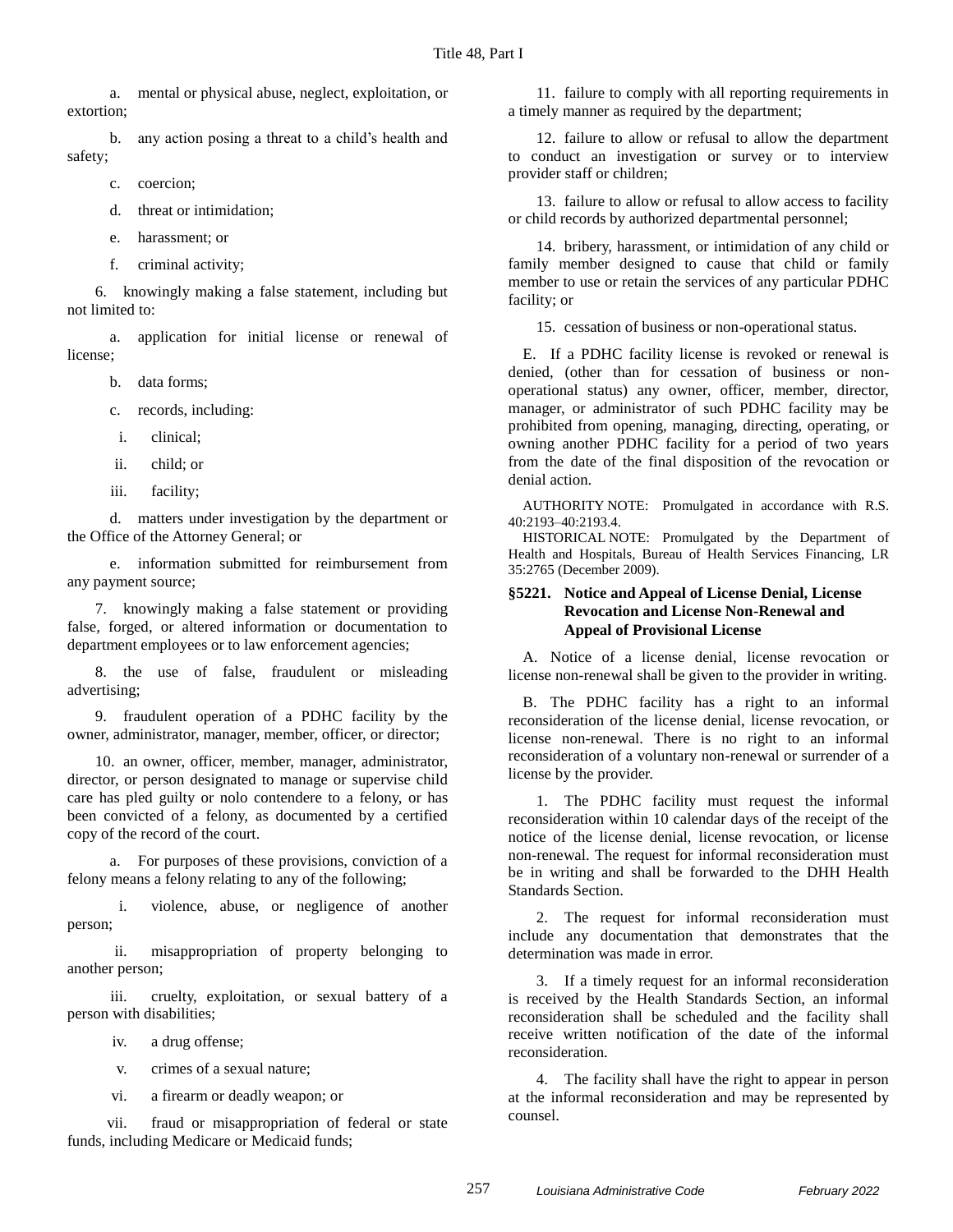a. mental or physical abuse, neglect, exploitation, or extortion;

b. any action posing a threat to a child's health and safety;

c. coercion;

d. threat or intimidation;

e. harassment; or

f. criminal activity;

6. knowingly making a false statement, including but not limited to:

a. application for initial license or renewal of license;

b. data forms;

c. records, including:

- i. clinical;
- ii. child; or
- iii. facility;

d. matters under investigation by the department or the Office of the Attorney General; or

e. information submitted for reimbursement from any payment source;

7. knowingly making a false statement or providing false, forged, or altered information or documentation to department employees or to law enforcement agencies;

8. the use of false, fraudulent or misleading advertising;

9. fraudulent operation of a PDHC facility by the owner, administrator, manager, member, officer, or director;

10. an owner, officer, member, manager, administrator, director, or person designated to manage or supervise child care has pled guilty or nolo contendere to a felony, or has been convicted of a felony, as documented by a certified copy of the record of the court.

a. For purposes of these provisions, conviction of a felony means a felony relating to any of the following;

i. violence, abuse, or negligence of another person;

ii. misappropriation of property belonging to another person;

iii. cruelty, exploitation, or sexual battery of a person with disabilities;

- iv. a drug offense;
- v. crimes of a sexual nature;
- vi. a firearm or deadly weapon; or

vii. fraud or misappropriation of federal or state funds, including Medicare or Medicaid funds;

11. failure to comply with all reporting requirements in a timely manner as required by the department;

12. failure to allow or refusal to allow the department to conduct an investigation or survey or to interview provider staff or children;

13. failure to allow or refusal to allow access to facility or child records by authorized departmental personnel;

14. bribery, harassment, or intimidation of any child or family member designed to cause that child or family member to use or retain the services of any particular PDHC facility; or

15. cessation of business or non-operational status.

E. If a PDHC facility license is revoked or renewal is denied, (other than for cessation of business or nonoperational status) any owner, officer, member, director, manager, or administrator of such PDHC facility may be prohibited from opening, managing, directing, operating, or owning another PDHC facility for a period of two years from the date of the final disposition of the revocation or denial action.

AUTHORITY NOTE: Promulgated in accordance with R.S. 40:2193–40:2193.4.

HISTORICAL NOTE: Promulgated by the Department of Health and Hospitals, Bureau of Health Services Financing, LR 35:2765 (December 2009).

## **§5221. Notice and Appeal of License Denial, License Revocation and License Non-Renewal and Appeal of Provisional License**

A. Notice of a license denial, license revocation or license non-renewal shall be given to the provider in writing.

B. The PDHC facility has a right to an informal reconsideration of the license denial, license revocation, or license non-renewal. There is no right to an informal reconsideration of a voluntary non-renewal or surrender of a license by the provider.

1. The PDHC facility must request the informal reconsideration within 10 calendar days of the receipt of the notice of the license denial, license revocation, or license non-renewal. The request for informal reconsideration must be in writing and shall be forwarded to the DHH Health Standards Section.

2. The request for informal reconsideration must include any documentation that demonstrates that the determination was made in error.

3. If a timely request for an informal reconsideration is received by the Health Standards Section, an informal reconsideration shall be scheduled and the facility shall receive written notification of the date of the informal reconsideration.

4. The facility shall have the right to appear in person at the informal reconsideration and may be represented by counsel.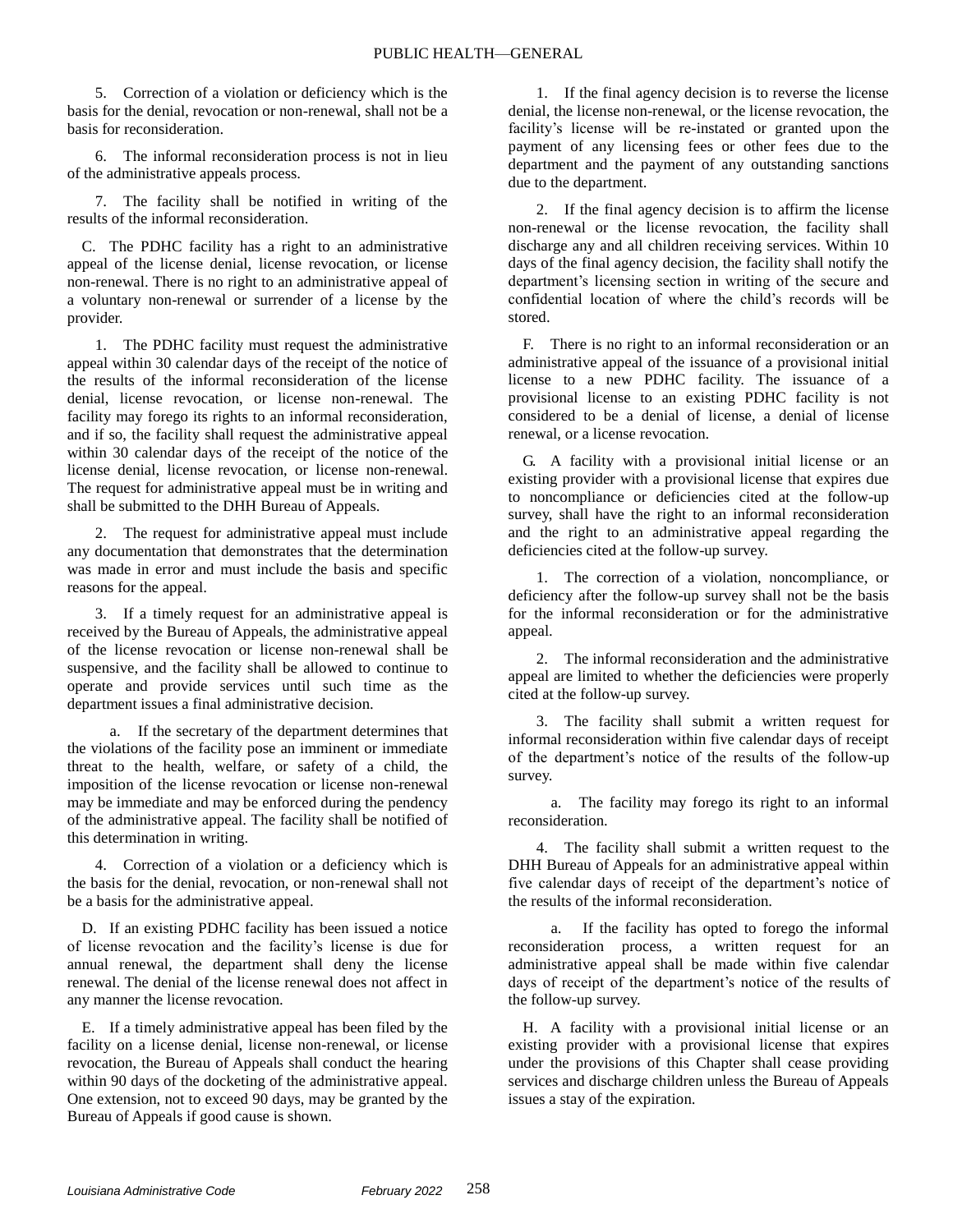5. Correction of a violation or deficiency which is the basis for the denial, revocation or non-renewal, shall not be a basis for reconsideration.

6. The informal reconsideration process is not in lieu of the administrative appeals process.

7. The facility shall be notified in writing of the results of the informal reconsideration.

C. The PDHC facility has a right to an administrative appeal of the license denial, license revocation, or license non-renewal. There is no right to an administrative appeal of a voluntary non-renewal or surrender of a license by the provider.

1. The PDHC facility must request the administrative appeal within 30 calendar days of the receipt of the notice of the results of the informal reconsideration of the license denial, license revocation, or license non-renewal. The facility may forego its rights to an informal reconsideration, and if so, the facility shall request the administrative appeal within 30 calendar days of the receipt of the notice of the license denial, license revocation, or license non-renewal. The request for administrative appeal must be in writing and shall be submitted to the DHH Bureau of Appeals.

2. The request for administrative appeal must include any documentation that demonstrates that the determination was made in error and must include the basis and specific reasons for the appeal.

3. If a timely request for an administrative appeal is received by the Bureau of Appeals, the administrative appeal of the license revocation or license non-renewal shall be suspensive, and the facility shall be allowed to continue to operate and provide services until such time as the department issues a final administrative decision.

a. If the secretary of the department determines that the violations of the facility pose an imminent or immediate threat to the health, welfare, or safety of a child, the imposition of the license revocation or license non-renewal may be immediate and may be enforced during the pendency of the administrative appeal. The facility shall be notified of this determination in writing.

Correction of a violation or a deficiency which is the basis for the denial, revocation, or non-renewal shall not be a basis for the administrative appeal.

D. If an existing PDHC facility has been issued a notice of license revocation and the facility's license is due for annual renewal, the department shall deny the license renewal. The denial of the license renewal does not affect in any manner the license revocation.

E. If a timely administrative appeal has been filed by the facility on a license denial, license non-renewal, or license revocation, the Bureau of Appeals shall conduct the hearing within 90 days of the docketing of the administrative appeal. One extension, not to exceed 90 days, may be granted by the Bureau of Appeals if good cause is shown.

1. If the final agency decision is to reverse the license denial, the license non-renewal, or the license revocation, the facility's license will be re-instated or granted upon the payment of any licensing fees or other fees due to the department and the payment of any outstanding sanctions due to the department.

2. If the final agency decision is to affirm the license non-renewal or the license revocation, the facility shall discharge any and all children receiving services. Within 10 days of the final agency decision, the facility shall notify the department's licensing section in writing of the secure and confidential location of where the child's records will be stored.

F. There is no right to an informal reconsideration or an administrative appeal of the issuance of a provisional initial license to a new PDHC facility. The issuance of a provisional license to an existing PDHC facility is not considered to be a denial of license, a denial of license renewal, or a license revocation.

G. A facility with a provisional initial license or an existing provider with a provisional license that expires due to noncompliance or deficiencies cited at the follow-up survey, shall have the right to an informal reconsideration and the right to an administrative appeal regarding the deficiencies cited at the follow-up survey.

1. The correction of a violation, noncompliance, or deficiency after the follow-up survey shall not be the basis for the informal reconsideration or for the administrative appeal.

2. The informal reconsideration and the administrative appeal are limited to whether the deficiencies were properly cited at the follow-up survey.

3. The facility shall submit a written request for informal reconsideration within five calendar days of receipt of the department's notice of the results of the follow-up survey.

a. The facility may forego its right to an informal reconsideration.

4. The facility shall submit a written request to the DHH Bureau of Appeals for an administrative appeal within five calendar days of receipt of the department's notice of the results of the informal reconsideration.

a. If the facility has opted to forego the informal reconsideration process, a written request for an administrative appeal shall be made within five calendar days of receipt of the department's notice of the results of the follow-up survey.

H. A facility with a provisional initial license or an existing provider with a provisional license that expires under the provisions of this Chapter shall cease providing services and discharge children unless the Bureau of Appeals issues a stay of the expiration.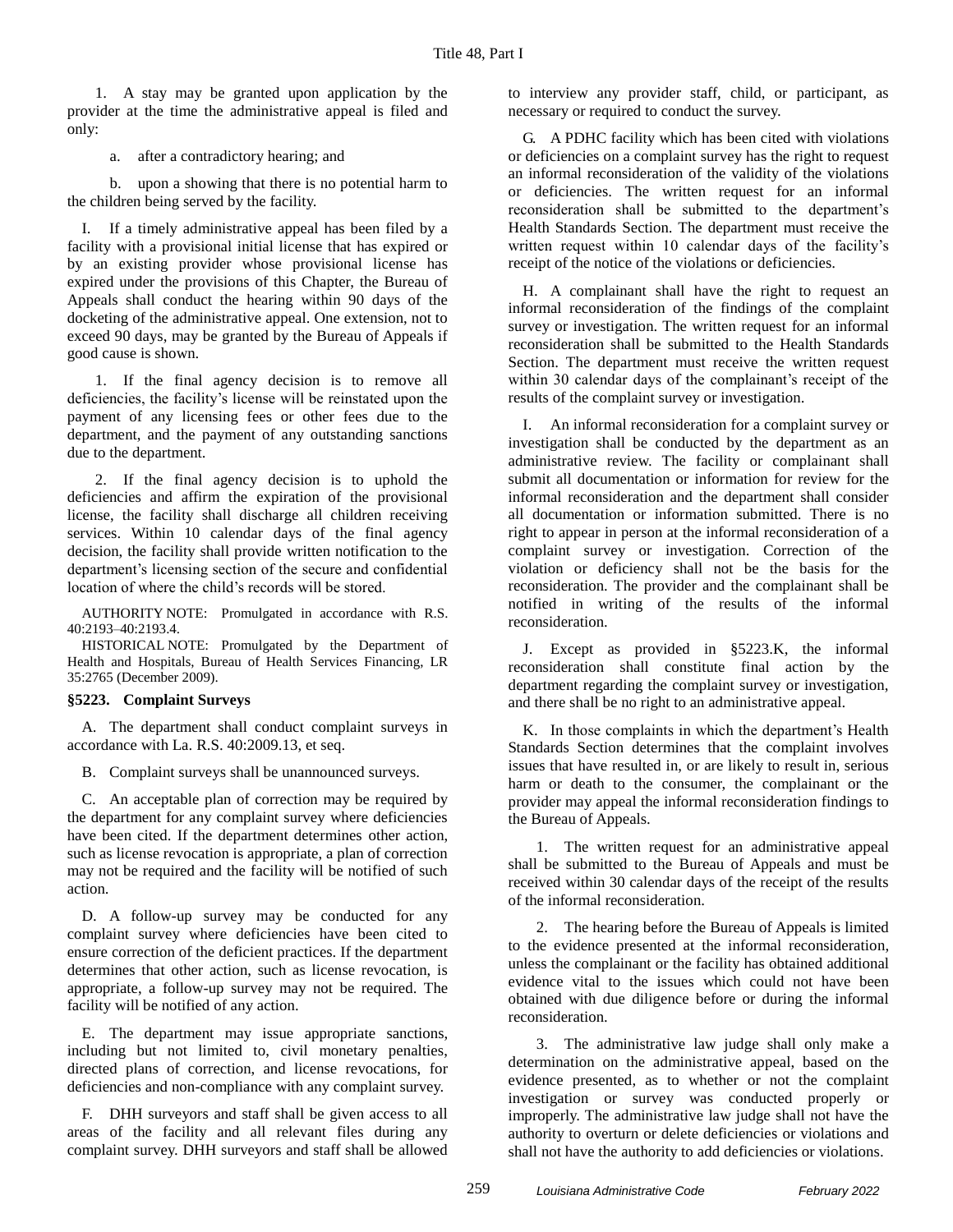1. A stay may be granted upon application by the provider at the time the administrative appeal is filed and only:

a. after a contradictory hearing; and

b. upon a showing that there is no potential harm to the children being served by the facility.

I. If a timely administrative appeal has been filed by a facility with a provisional initial license that has expired or by an existing provider whose provisional license has expired under the provisions of this Chapter, the Bureau of Appeals shall conduct the hearing within 90 days of the docketing of the administrative appeal. One extension, not to exceed 90 days, may be granted by the Bureau of Appeals if good cause is shown.

1. If the final agency decision is to remove all deficiencies, the facility's license will be reinstated upon the payment of any licensing fees or other fees due to the department, and the payment of any outstanding sanctions due to the department.

2. If the final agency decision is to uphold the deficiencies and affirm the expiration of the provisional license, the facility shall discharge all children receiving services. Within 10 calendar days of the final agency decision, the facility shall provide written notification to the department's licensing section of the secure and confidential location of where the child's records will be stored.

AUTHORITY NOTE: Promulgated in accordance with R.S. 40:2193–40:2193.4.

HISTORICAL NOTE: Promulgated by the Department of Health and Hospitals, Bureau of Health Services Financing, LR 35:2765 (December 2009).

## **§5223. Complaint Surveys**

A. The department shall conduct complaint surveys in accordance with La. R.S. 40:2009.13, et seq.

B. Complaint surveys shall be unannounced surveys.

C. An acceptable plan of correction may be required by the department for any complaint survey where deficiencies have been cited. If the department determines other action, such as license revocation is appropriate, a plan of correction may not be required and the facility will be notified of such action.

D. A follow-up survey may be conducted for any complaint survey where deficiencies have been cited to ensure correction of the deficient practices. If the department determines that other action, such as license revocation, is appropriate, a follow-up survey may not be required. The facility will be notified of any action.

E. The department may issue appropriate sanctions, including but not limited to, civil monetary penalties, directed plans of correction, and license revocations, for deficiencies and non-compliance with any complaint survey.

F. DHH surveyors and staff shall be given access to all areas of the facility and all relevant files during any complaint survey. DHH surveyors and staff shall be allowed to interview any provider staff, child, or participant, as necessary or required to conduct the survey.

G. A PDHC facility which has been cited with violations or deficiencies on a complaint survey has the right to request an informal reconsideration of the validity of the violations or deficiencies. The written request for an informal reconsideration shall be submitted to the department's Health Standards Section. The department must receive the written request within 10 calendar days of the facility's receipt of the notice of the violations or deficiencies.

H. A complainant shall have the right to request an informal reconsideration of the findings of the complaint survey or investigation. The written request for an informal reconsideration shall be submitted to the Health Standards Section. The department must receive the written request within 30 calendar days of the complainant's receipt of the results of the complaint survey or investigation.

I. An informal reconsideration for a complaint survey or investigation shall be conducted by the department as an administrative review. The facility or complainant shall submit all documentation or information for review for the informal reconsideration and the department shall consider all documentation or information submitted. There is no right to appear in person at the informal reconsideration of a complaint survey or investigation. Correction of the violation or deficiency shall not be the basis for the reconsideration. The provider and the complainant shall be notified in writing of the results of the informal reconsideration.

J. Except as provided in §5223.K, the informal reconsideration shall constitute final action by the department regarding the complaint survey or investigation, and there shall be no right to an administrative appeal.

K. In those complaints in which the department's Health Standards Section determines that the complaint involves issues that have resulted in, or are likely to result in, serious harm or death to the consumer, the complainant or the provider may appeal the informal reconsideration findings to the Bureau of Appeals.

1. The written request for an administrative appeal shall be submitted to the Bureau of Appeals and must be received within 30 calendar days of the receipt of the results of the informal reconsideration.

2. The hearing before the Bureau of Appeals is limited to the evidence presented at the informal reconsideration, unless the complainant or the facility has obtained additional evidence vital to the issues which could not have been obtained with due diligence before or during the informal reconsideration.

3. The administrative law judge shall only make a determination on the administrative appeal, based on the evidence presented, as to whether or not the complaint investigation or survey was conducted properly or improperly. The administrative law judge shall not have the authority to overturn or delete deficiencies or violations and shall not have the authority to add deficiencies or violations.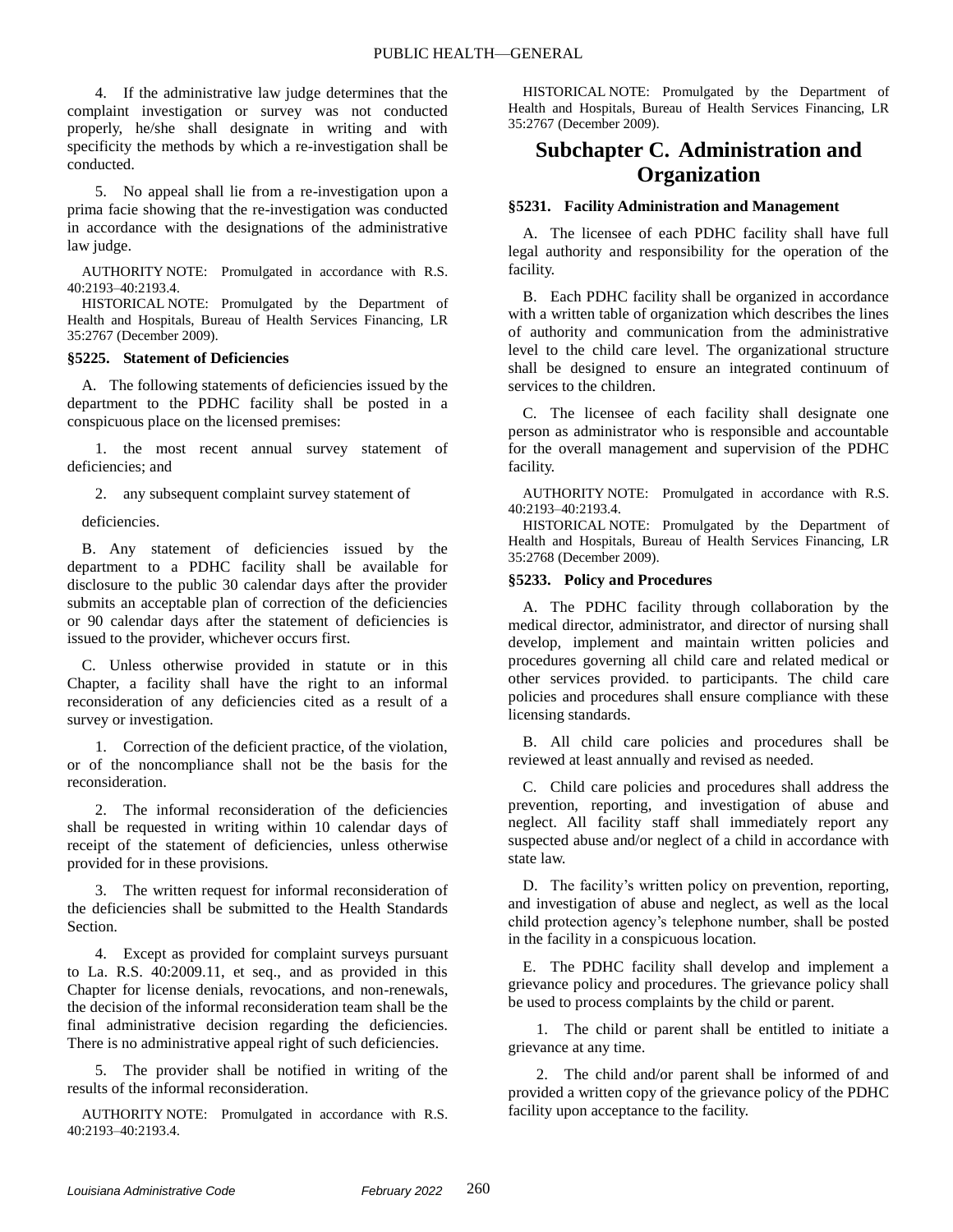4. If the administrative law judge determines that the complaint investigation or survey was not conducted properly, he/she shall designate in writing and with specificity the methods by which a re-investigation shall be conducted.

5. No appeal shall lie from a re-investigation upon a prima facie showing that the re-investigation was conducted in accordance with the designations of the administrative law judge.

AUTHORITY NOTE: Promulgated in accordance with R.S. 40:2193–40:2193.4.

HISTORICAL NOTE: Promulgated by the Department of Health and Hospitals, Bureau of Health Services Financing, LR 35:2767 (December 2009).

#### **§5225. Statement of Deficiencies**

A. The following statements of deficiencies issued by the department to the PDHC facility shall be posted in a conspicuous place on the licensed premises:

1. the most recent annual survey statement of deficiencies; and

2. any subsequent complaint survey statement of

deficiencies.

B. Any statement of deficiencies issued by the department to a PDHC facility shall be available for disclosure to the public 30 calendar days after the provider submits an acceptable plan of correction of the deficiencies or 90 calendar days after the statement of deficiencies is issued to the provider, whichever occurs first.

C. Unless otherwise provided in statute or in this Chapter, a facility shall have the right to an informal reconsideration of any deficiencies cited as a result of a survey or investigation.

1. Correction of the deficient practice, of the violation, or of the noncompliance shall not be the basis for the reconsideration.

2. The informal reconsideration of the deficiencies shall be requested in writing within 10 calendar days of receipt of the statement of deficiencies, unless otherwise provided for in these provisions.

3. The written request for informal reconsideration of the deficiencies shall be submitted to the Health Standards Section.

4. Except as provided for complaint surveys pursuant to La. R.S. 40:2009.11, et seq., and as provided in this Chapter for license denials, revocations, and non-renewals, the decision of the informal reconsideration team shall be the final administrative decision regarding the deficiencies. There is no administrative appeal right of such deficiencies.

5. The provider shall be notified in writing of the results of the informal reconsideration.

AUTHORITY NOTE: Promulgated in accordance with R.S. 40:2193–40:2193.4.

HISTORICAL NOTE: Promulgated by the Department of Health and Hospitals, Bureau of Health Services Financing, LR 35:2767 (December 2009).

# **Subchapter C. Administration and Organization**

#### **§5231. Facility Administration and Management**

A. The licensee of each PDHC facility shall have full legal authority and responsibility for the operation of the facility.

B. Each PDHC facility shall be organized in accordance with a written table of organization which describes the lines of authority and communication from the administrative level to the child care level. The organizational structure shall be designed to ensure an integrated continuum of services to the children.

C. The licensee of each facility shall designate one person as administrator who is responsible and accountable for the overall management and supervision of the PDHC facility.

AUTHORITY NOTE: Promulgated in accordance with R.S. 40:2193–40:2193.4.

HISTORICAL NOTE: Promulgated by the Department of Health and Hospitals, Bureau of Health Services Financing, LR 35:2768 (December 2009).

#### **§5233. Policy and Procedures**

A. The PDHC facility through collaboration by the medical director, administrator, and director of nursing shall develop, implement and maintain written policies and procedures governing all child care and related medical or other services provided. to participants. The child care policies and procedures shall ensure compliance with these licensing standards.

B. All child care policies and procedures shall be reviewed at least annually and revised as needed.

C. Child care policies and procedures shall address the prevention, reporting, and investigation of abuse and neglect. All facility staff shall immediately report any suspected abuse and/or neglect of a child in accordance with state law.

D. The facility's written policy on prevention, reporting, and investigation of abuse and neglect, as well as the local child protection agency's telephone number, shall be posted in the facility in a conspicuous location.

E. The PDHC facility shall develop and implement a grievance policy and procedures. The grievance policy shall be used to process complaints by the child or parent.

1. The child or parent shall be entitled to initiate a grievance at any time.

2. The child and/or parent shall be informed of and provided a written copy of the grievance policy of the PDHC facility upon acceptance to the facility.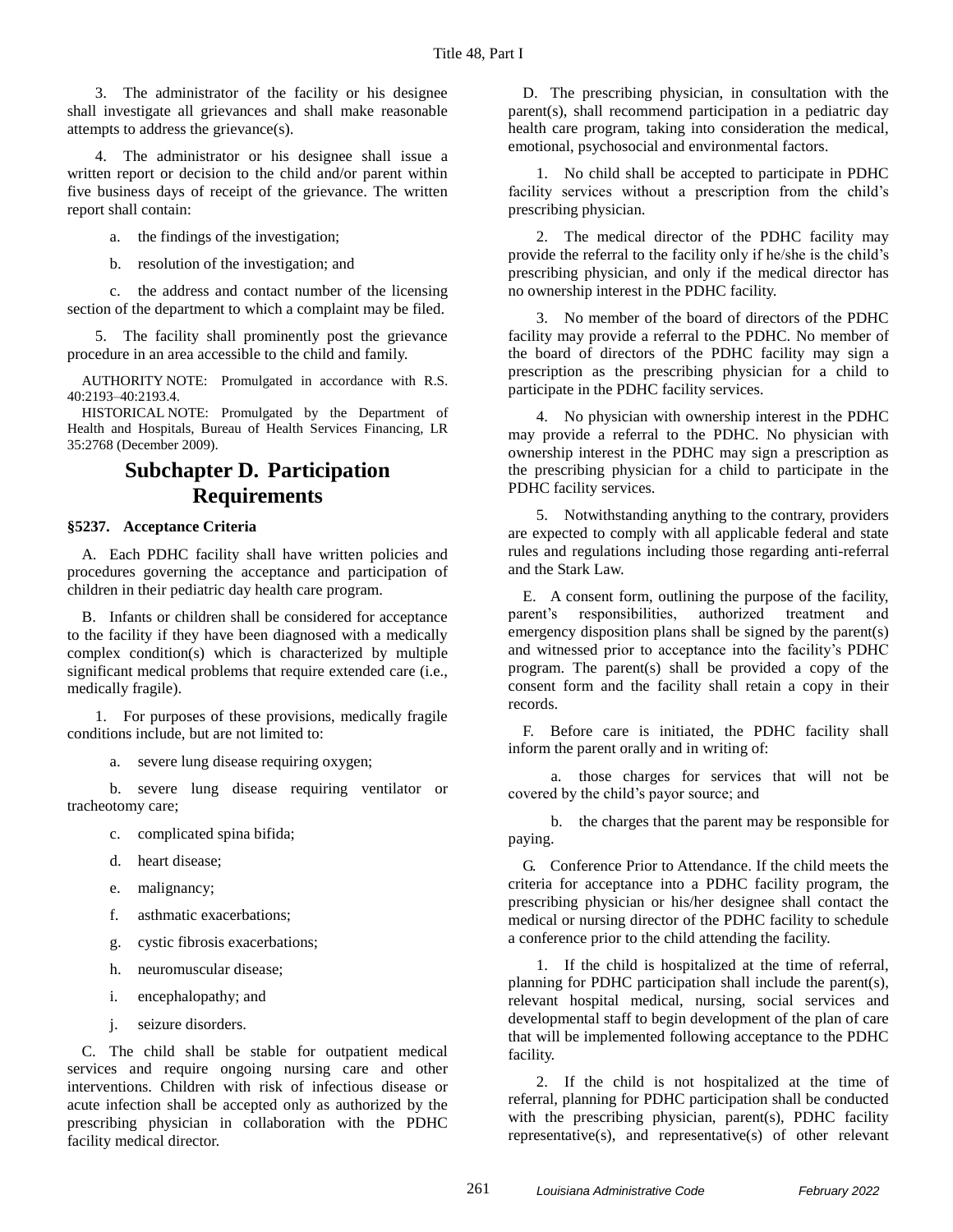3. The administrator of the facility or his designee shall investigate all grievances and shall make reasonable attempts to address the grievance(s).

4. The administrator or his designee shall issue a written report or decision to the child and/or parent within five business days of receipt of the grievance. The written report shall contain:

a. the findings of the investigation;

b. resolution of the investigation; and

c. the address and contact number of the licensing section of the department to which a complaint may be filed.

5. The facility shall prominently post the grievance procedure in an area accessible to the child and family.

AUTHORITY NOTE: Promulgated in accordance with R.S. 40:2193–40:2193.4.

HISTORICAL NOTE: Promulgated by the Department of Health and Hospitals, Bureau of Health Services Financing, LR 35:2768 (December 2009).

# **Subchapter D. Participation Requirements**

## **§5237. Acceptance Criteria**

A. Each PDHC facility shall have written policies and procedures governing the acceptance and participation of children in their pediatric day health care program.

B. Infants or children shall be considered for acceptance to the facility if they have been diagnosed with a medically complex condition(s) which is characterized by multiple significant medical problems that require extended care (i.e., medically fragile).

1. For purposes of these provisions, medically fragile conditions include, but are not limited to:

a. severe lung disease requiring oxygen;

b. severe lung disease requiring ventilator or tracheotomy care;

- c. complicated spina bifida;
- d. heart disease;
- e. malignancy;
- f. asthmatic exacerbations;
- g. cystic fibrosis exacerbations;
- h. neuromuscular disease;
- i. encephalopathy; and
- j. seizure disorders.

C. The child shall be stable for outpatient medical services and require ongoing nursing care and other interventions. Children with risk of infectious disease or acute infection shall be accepted only as authorized by the prescribing physician in collaboration with the PDHC facility medical director.

D. The prescribing physician, in consultation with the parent(s), shall recommend participation in a pediatric day health care program, taking into consideration the medical, emotional, psychosocial and environmental factors.

1. No child shall be accepted to participate in PDHC facility services without a prescription from the child's prescribing physician.

2. The medical director of the PDHC facility may provide the referral to the facility only if he/she is the child's prescribing physician, and only if the medical director has no ownership interest in the PDHC facility.

3. No member of the board of directors of the PDHC facility may provide a referral to the PDHC. No member of the board of directors of the PDHC facility may sign a prescription as the prescribing physician for a child to participate in the PDHC facility services.

4. No physician with ownership interest in the PDHC may provide a referral to the PDHC. No physician with ownership interest in the PDHC may sign a prescription as the prescribing physician for a child to participate in the PDHC facility services.

5. Notwithstanding anything to the contrary, providers are expected to comply with all applicable federal and state rules and regulations including those regarding anti-referral and the Stark Law.

E. A consent form, outlining the purpose of the facility, parent's responsibilities, authorized treatment and emergency disposition plans shall be signed by the parent(s) and witnessed prior to acceptance into the facility's PDHC program. The parent(s) shall be provided a copy of the consent form and the facility shall retain a copy in their records.

F. Before care is initiated, the PDHC facility shall inform the parent orally and in writing of:

a. those charges for services that will not be covered by the child's payor source; and

b. the charges that the parent may be responsible for paying.

G. Conference Prior to Attendance. If the child meets the criteria for acceptance into a PDHC facility program, the prescribing physician or his/her designee shall contact the medical or nursing director of the PDHC facility to schedule a conference prior to the child attending the facility.

1. If the child is hospitalized at the time of referral, planning for PDHC participation shall include the parent(s), relevant hospital medical, nursing, social services and developmental staff to begin development of the plan of care that will be implemented following acceptance to the PDHC facility.

2. If the child is not hospitalized at the time of referral, planning for PDHC participation shall be conducted with the prescribing physician, parent(s), PDHC facility representative(s), and representative(s) of other relevant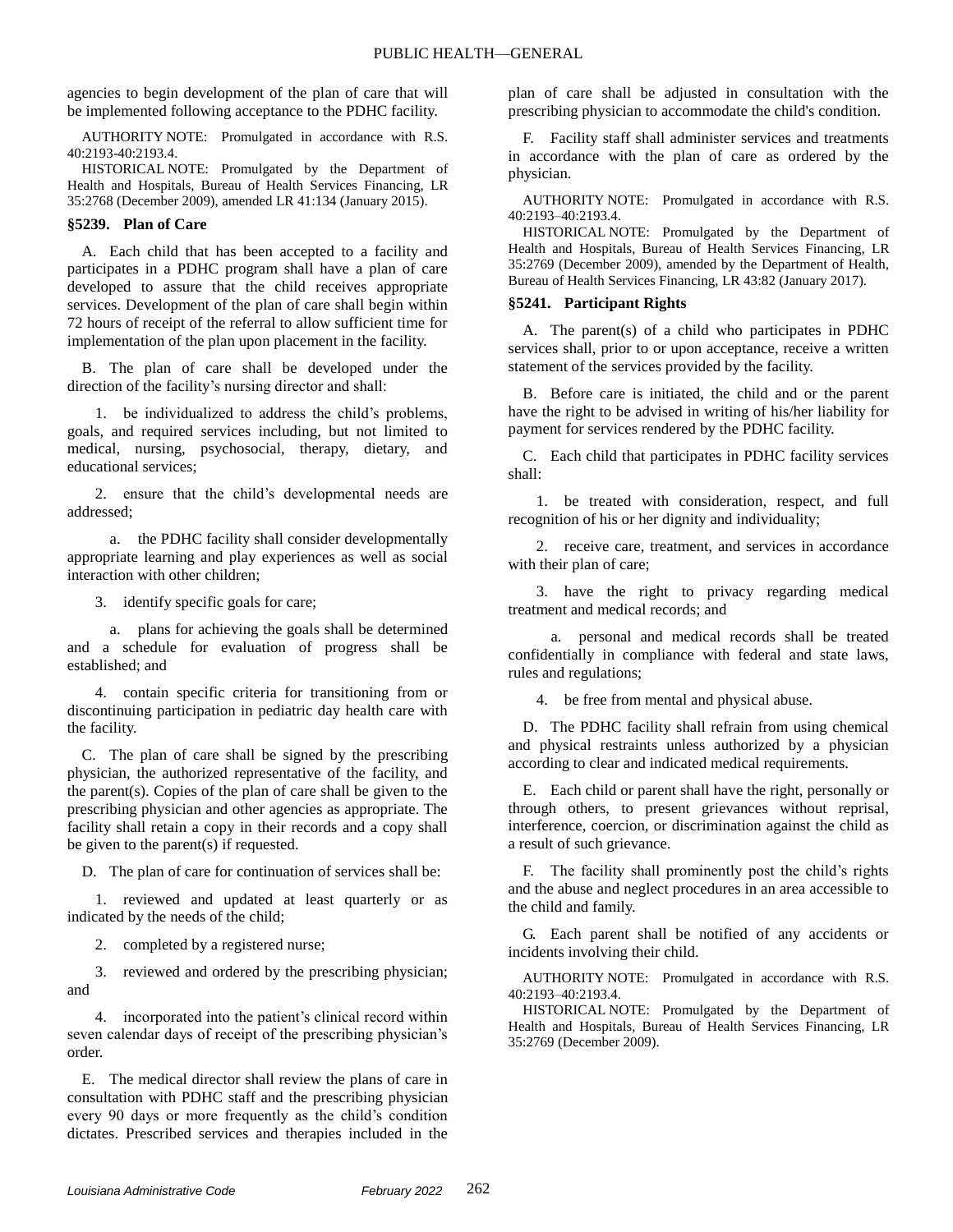agencies to begin development of the plan of care that will be implemented following acceptance to the PDHC facility.

AUTHORITY NOTE: Promulgated in accordance with R.S. 40:2193-40:2193.4.

HISTORICAL NOTE: Promulgated by the Department of Health and Hospitals, Bureau of Health Services Financing, LR 35:2768 (December 2009), amended LR 41:134 (January 2015).

#### **§5239. Plan of Care**

A. Each child that has been accepted to a facility and participates in a PDHC program shall have a plan of care developed to assure that the child receives appropriate services. Development of the plan of care shall begin within 72 hours of receipt of the referral to allow sufficient time for implementation of the plan upon placement in the facility.

B. The plan of care shall be developed under the direction of the facility's nursing director and shall:

1. be individualized to address the child's problems, goals, and required services including, but not limited to medical, nursing, psychosocial, therapy, dietary, and educational services;

2. ensure that the child's developmental needs are addressed;

a. the PDHC facility shall consider developmentally appropriate learning and play experiences as well as social interaction with other children;

3. identify specific goals for care;

a. plans for achieving the goals shall be determined and a schedule for evaluation of progress shall be established; and

4. contain specific criteria for transitioning from or discontinuing participation in pediatric day health care with the facility.

C. The plan of care shall be signed by the prescribing physician, the authorized representative of the facility, and the parent(s). Copies of the plan of care shall be given to the prescribing physician and other agencies as appropriate. The facility shall retain a copy in their records and a copy shall be given to the parent(s) if requested.

D. The plan of care for continuation of services shall be:

1. reviewed and updated at least quarterly or as indicated by the needs of the child;

2. completed by a registered nurse;

3. reviewed and ordered by the prescribing physician; and

4. incorporated into the patient's clinical record within seven calendar days of receipt of the prescribing physician's order.

E. The medical director shall review the plans of care in consultation with PDHC staff and the prescribing physician every 90 days or more frequently as the child's condition dictates. Prescribed services and therapies included in the

plan of care shall be adjusted in consultation with the prescribing physician to accommodate the child's condition.

F. Facility staff shall administer services and treatments in accordance with the plan of care as ordered by the physician.

AUTHORITY NOTE: Promulgated in accordance with R.S. 40:2193–40:2193.4.

HISTORICAL NOTE: Promulgated by the Department of Health and Hospitals, Bureau of Health Services Financing, LR 35:2769 (December 2009), amended by the Department of Health, Bureau of Health Services Financing, LR 43:82 (January 2017).

## **§5241. Participant Rights**

A. The parent(s) of a child who participates in PDHC services shall, prior to or upon acceptance, receive a written statement of the services provided by the facility.

B. Before care is initiated, the child and or the parent have the right to be advised in writing of his/her liability for payment for services rendered by the PDHC facility.

C. Each child that participates in PDHC facility services shall:

1. be treated with consideration, respect, and full recognition of his or her dignity and individuality;

2. receive care, treatment, and services in accordance with their plan of care;

3. have the right to privacy regarding medical treatment and medical records; and

a. personal and medical records shall be treated confidentially in compliance with federal and state laws, rules and regulations;

4. be free from mental and physical abuse.

D. The PDHC facility shall refrain from using chemical and physical restraints unless authorized by a physician according to clear and indicated medical requirements.

E. Each child or parent shall have the right, personally or through others, to present grievances without reprisal, interference, coercion, or discrimination against the child as a result of such grievance.

F. The facility shall prominently post the child's rights and the abuse and neglect procedures in an area accessible to the child and family.

G. Each parent shall be notified of any accidents or incidents involving their child.

AUTHORITY NOTE: Promulgated in accordance with R.S. 40:2193–40:2193.4.

HISTORICAL NOTE: Promulgated by the Department of Health and Hospitals, Bureau of Health Services Financing, LR 35:2769 (December 2009).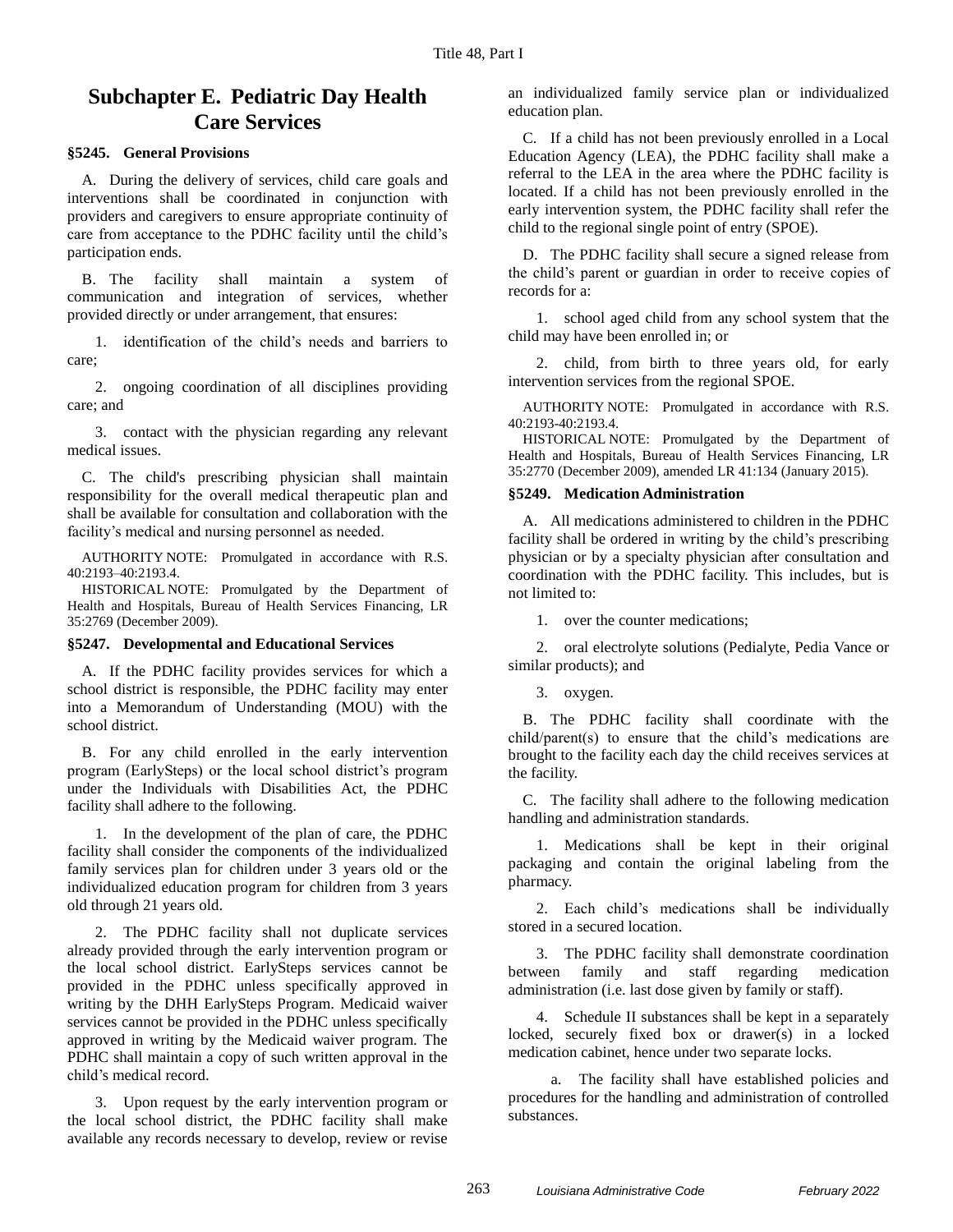# **Subchapter E. Pediatric Day Health Care Services**

## **§5245. General Provisions**

A. During the delivery of services, child care goals and interventions shall be coordinated in conjunction with providers and caregivers to ensure appropriate continuity of care from acceptance to the PDHC facility until the child's participation ends.

B. The facility shall maintain a system of communication and integration of services, whether provided directly or under arrangement, that ensures:

1. identification of the child's needs and barriers to care;

2. ongoing coordination of all disciplines providing care; and

3. contact with the physician regarding any relevant medical issues.

C. The child's prescribing physician shall maintain responsibility for the overall medical therapeutic plan and shall be available for consultation and collaboration with the facility's medical and nursing personnel as needed.

AUTHORITY NOTE: Promulgated in accordance with R.S. 40:2193–40:2193.4.

HISTORICAL NOTE: Promulgated by the Department of Health and Hospitals, Bureau of Health Services Financing, LR 35:2769 (December 2009).

#### **§5247. Developmental and Educational Services**

A. If the PDHC facility provides services for which a school district is responsible, the PDHC facility may enter into a Memorandum of Understanding (MOU) with the school district.

B. For any child enrolled in the early intervention program (EarlySteps) or the local school district's program under the Individuals with Disabilities Act, the PDHC facility shall adhere to the following.

1. In the development of the plan of care, the PDHC facility shall consider the components of the individualized family services plan for children under 3 years old or the individualized education program for children from 3 years old through 21 years old.

2. The PDHC facility shall not duplicate services already provided through the early intervention program or the local school district. EarlySteps services cannot be provided in the PDHC unless specifically approved in writing by the DHH EarlySteps Program. Medicaid waiver services cannot be provided in the PDHC unless specifically approved in writing by the Medicaid waiver program. The PDHC shall maintain a copy of such written approval in the child's medical record.

3. Upon request by the early intervention program or the local school district, the PDHC facility shall make available any records necessary to develop, review or revise

an individualized family service plan or individualized education plan.

C. If a child has not been previously enrolled in a Local Education Agency (LEA), the PDHC facility shall make a referral to the LEA in the area where the PDHC facility is located. If a child has not been previously enrolled in the early intervention system, the PDHC facility shall refer the child to the regional single point of entry (SPOE).

D. The PDHC facility shall secure a signed release from the child's parent or guardian in order to receive copies of records for a:

1. school aged child from any school system that the child may have been enrolled in; or

2. child, from birth to three years old, for early intervention services from the regional SPOE.

AUTHORITY NOTE: Promulgated in accordance with R.S. 40:2193-40:2193.4.

HISTORICAL NOTE: Promulgated by the Department of Health and Hospitals, Bureau of Health Services Financing, LR 35:2770 (December 2009), amended LR 41:134 (January 2015).

#### **§5249. Medication Administration**

A. All medications administered to children in the PDHC facility shall be ordered in writing by the child's prescribing physician or by a specialty physician after consultation and coordination with the PDHC facility. This includes, but is not limited to:

1. over the counter medications;

2. oral electrolyte solutions (Pedialyte, Pedia Vance or similar products); and

3. oxygen.

B. The PDHC facility shall coordinate with the child/parent(s) to ensure that the child's medications are brought to the facility each day the child receives services at the facility.

C. The facility shall adhere to the following medication handling and administration standards.

1. Medications shall be kept in their original packaging and contain the original labeling from the pharmacy.

2. Each child's medications shall be individually stored in a secured location.

3. The PDHC facility shall demonstrate coordination between family and staff regarding medication administration (i.e. last dose given by family or staff).

4. Schedule II substances shall be kept in a separately locked, securely fixed box or drawer(s) in a locked medication cabinet, hence under two separate locks.

a. The facility shall have established policies and procedures for the handling and administration of controlled substances.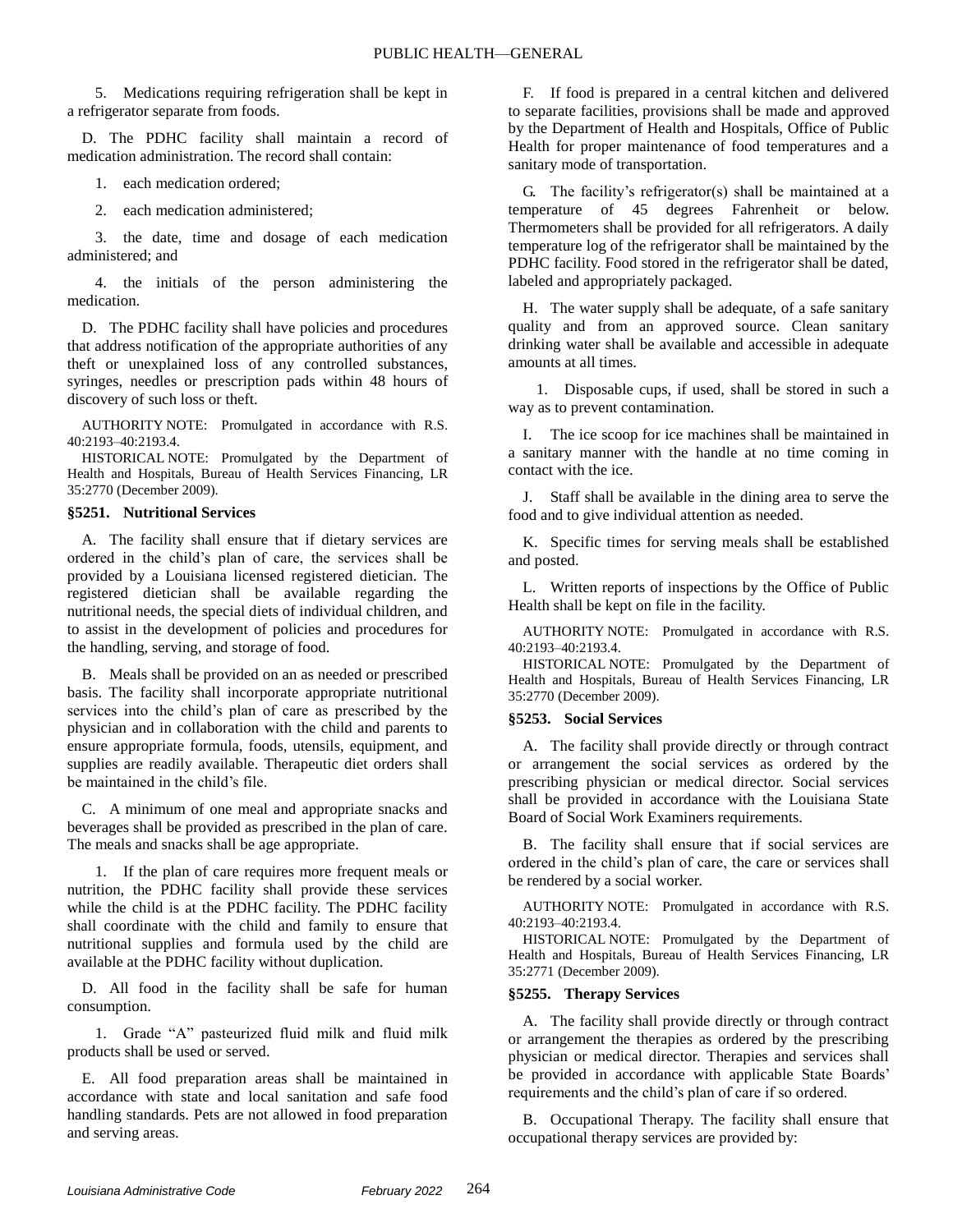5. Medications requiring refrigeration shall be kept in a refrigerator separate from foods.

D. The PDHC facility shall maintain a record of medication administration. The record shall contain:

1. each medication ordered;

2. each medication administered;

3. the date, time and dosage of each medication administered; and

4. the initials of the person administering the medication.

D. The PDHC facility shall have policies and procedures that address notification of the appropriate authorities of any theft or unexplained loss of any controlled substances, syringes, needles or prescription pads within 48 hours of discovery of such loss or theft.

AUTHORITY NOTE: Promulgated in accordance with R.S. 40:2193–40:2193.4.

HISTORICAL NOTE: Promulgated by the Department of Health and Hospitals, Bureau of Health Services Financing, LR 35:2770 (December 2009).

#### **§5251. Nutritional Services**

A. The facility shall ensure that if dietary services are ordered in the child's plan of care, the services shall be provided by a Louisiana licensed registered dietician. The registered dietician shall be available regarding the nutritional needs, the special diets of individual children, and to assist in the development of policies and procedures for the handling, serving, and storage of food.

B. Meals shall be provided on an as needed or prescribed basis. The facility shall incorporate appropriate nutritional services into the child's plan of care as prescribed by the physician and in collaboration with the child and parents to ensure appropriate formula, foods, utensils, equipment, and supplies are readily available. Therapeutic diet orders shall be maintained in the child's file.

C. A minimum of one meal and appropriate snacks and beverages shall be provided as prescribed in the plan of care. The meals and snacks shall be age appropriate.

1. If the plan of care requires more frequent meals or nutrition, the PDHC facility shall provide these services while the child is at the PDHC facility. The PDHC facility shall coordinate with the child and family to ensure that nutritional supplies and formula used by the child are available at the PDHC facility without duplication.

D. All food in the facility shall be safe for human consumption.

1. Grade "A" pasteurized fluid milk and fluid milk products shall be used or served.

E. All food preparation areas shall be maintained in accordance with state and local sanitation and safe food handling standards. Pets are not allowed in food preparation and serving areas.

F. If food is prepared in a central kitchen and delivered to separate facilities, provisions shall be made and approved by the Department of Health and Hospitals, Office of Public Health for proper maintenance of food temperatures and a sanitary mode of transportation.

G. The facility's refrigerator(s) shall be maintained at a temperature of 45 degrees Fahrenheit or below. Thermometers shall be provided for all refrigerators. A daily temperature log of the refrigerator shall be maintained by the PDHC facility. Food stored in the refrigerator shall be dated, labeled and appropriately packaged.

H. The water supply shall be adequate, of a safe sanitary quality and from an approved source. Clean sanitary drinking water shall be available and accessible in adequate amounts at all times.

1. Disposable cups, if used, shall be stored in such a way as to prevent contamination.

I. The ice scoop for ice machines shall be maintained in a sanitary manner with the handle at no time coming in contact with the ice.

J. Staff shall be available in the dining area to serve the food and to give individual attention as needed.

K. Specific times for serving meals shall be established and posted.

L. Written reports of inspections by the Office of Public Health shall be kept on file in the facility.

AUTHORITY NOTE: Promulgated in accordance with R.S. 40:2193–40:2193.4.

HISTORICAL NOTE: Promulgated by the Department of Health and Hospitals, Bureau of Health Services Financing, LR 35:2770 (December 2009).

#### **§5253. Social Services**

A. The facility shall provide directly or through contract or arrangement the social services as ordered by the prescribing physician or medical director. Social services shall be provided in accordance with the Louisiana State Board of Social Work Examiners requirements.

B. The facility shall ensure that if social services are ordered in the child's plan of care, the care or services shall be rendered by a social worker.

AUTHORITY NOTE: Promulgated in accordance with R.S. 40:2193–40:2193.4.

HISTORICAL NOTE: Promulgated by the Department of Health and Hospitals, Bureau of Health Services Financing, LR 35:2771 (December 2009).

#### **§5255. Therapy Services**

A. The facility shall provide directly or through contract or arrangement the therapies as ordered by the prescribing physician or medical director. Therapies and services shall be provided in accordance with applicable State Boards' requirements and the child's plan of care if so ordered.

B. Occupational Therapy. The facility shall ensure that occupational therapy services are provided by: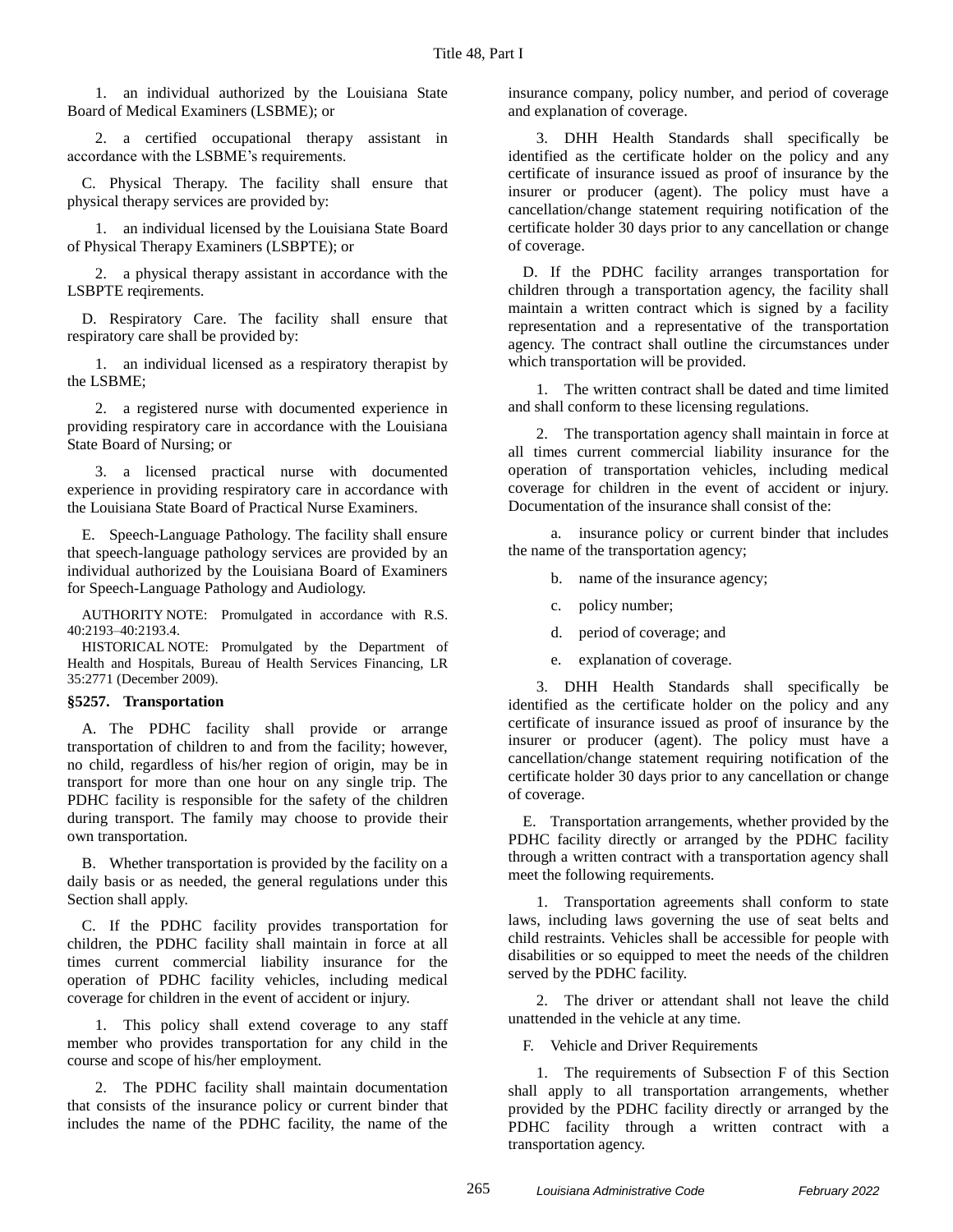1. an individual authorized by the Louisiana State Board of Medical Examiners (LSBME); or

2. a certified occupational therapy assistant in accordance with the LSBME's requirements.

C. Physical Therapy. The facility shall ensure that physical therapy services are provided by:

1. an individual licensed by the Louisiana State Board of Physical Therapy Examiners (LSBPTE); or

2. a physical therapy assistant in accordance with the LSBPTE reqirements.

D. Respiratory Care. The facility shall ensure that respiratory care shall be provided by:

1. an individual licensed as a respiratory therapist by the LSBME;

2. a registered nurse with documented experience in providing respiratory care in accordance with the Louisiana State Board of Nursing; or

3. a licensed practical nurse with documented experience in providing respiratory care in accordance with the Louisiana State Board of Practical Nurse Examiners.

E. Speech-Language Pathology. The facility shall ensure that speech-language pathology services are provided by an individual authorized by the Louisiana Board of Examiners for Speech-Language Pathology and Audiology.

AUTHORITY NOTE: Promulgated in accordance with R.S. 40:2193–40:2193.4.

HISTORICAL NOTE: Promulgated by the Department of Health and Hospitals, Bureau of Health Services Financing, LR 35:2771 (December 2009).

#### **§5257. Transportation**

A. The PDHC facility shall provide or arrange transportation of children to and from the facility; however, no child, regardless of his/her region of origin, may be in transport for more than one hour on any single trip. The PDHC facility is responsible for the safety of the children during transport. The family may choose to provide their own transportation.

B. Whether transportation is provided by the facility on a daily basis or as needed, the general regulations under this Section shall apply.

C. If the PDHC facility provides transportation for children, the PDHC facility shall maintain in force at all times current commercial liability insurance for the operation of PDHC facility vehicles, including medical coverage for children in the event of accident or injury.

1. This policy shall extend coverage to any staff member who provides transportation for any child in the course and scope of his/her employment.

2. The PDHC facility shall maintain documentation that consists of the insurance policy or current binder that includes the name of the PDHC facility, the name of the

insurance company, policy number, and period of coverage and explanation of coverage.

3. DHH Health Standards shall specifically be identified as the certificate holder on the policy and any certificate of insurance issued as proof of insurance by the insurer or producer (agent). The policy must have a cancellation/change statement requiring notification of the certificate holder 30 days prior to any cancellation or change of coverage.

D. If the PDHC facility arranges transportation for children through a transportation agency, the facility shall maintain a written contract which is signed by a facility representation and a representative of the transportation agency. The contract shall outline the circumstances under which transportation will be provided.

1. The written contract shall be dated and time limited and shall conform to these licensing regulations.

2. The transportation agency shall maintain in force at all times current commercial liability insurance for the operation of transportation vehicles, including medical coverage for children in the event of accident or injury. Documentation of the insurance shall consist of the:

a. insurance policy or current binder that includes the name of the transportation agency;

- b. name of the insurance agency;
- c. policy number;
- d. period of coverage; and
- e. explanation of coverage.

3. DHH Health Standards shall specifically be identified as the certificate holder on the policy and any certificate of insurance issued as proof of insurance by the insurer or producer (agent). The policy must have a cancellation/change statement requiring notification of the certificate holder 30 days prior to any cancellation or change of coverage.

E. Transportation arrangements, whether provided by the PDHC facility directly or arranged by the PDHC facility through a written contract with a transportation agency shall meet the following requirements.

1. Transportation agreements shall conform to state laws, including laws governing the use of seat belts and child restraints. Vehicles shall be accessible for people with disabilities or so equipped to meet the needs of the children served by the PDHC facility.

2. The driver or attendant shall not leave the child unattended in the vehicle at any time.

F. Vehicle and Driver Requirements

1. The requirements of Subsection F of this Section shall apply to all transportation arrangements, whether provided by the PDHC facility directly or arranged by the PDHC facility through a written contract with a transportation agency.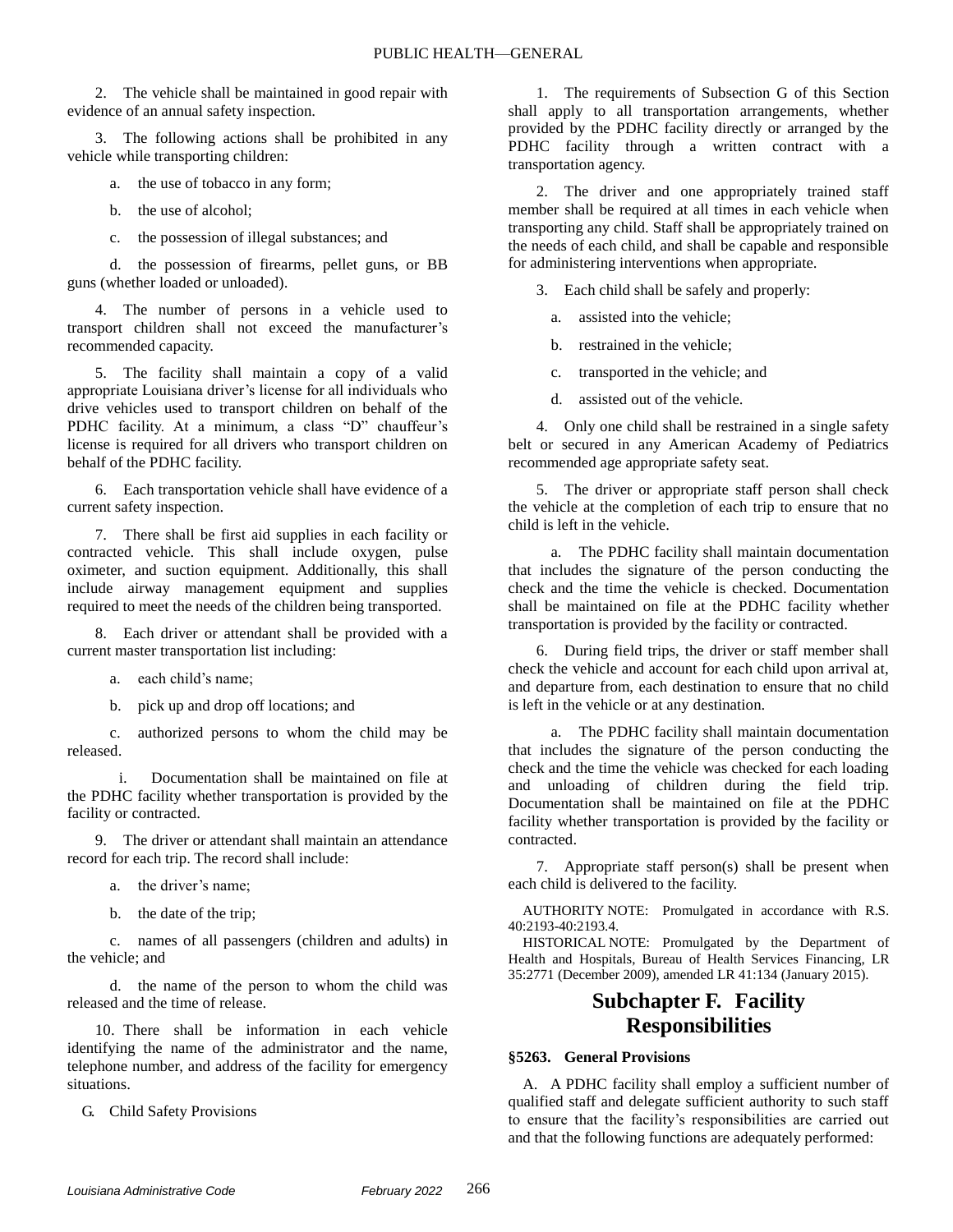2. The vehicle shall be maintained in good repair with evidence of an annual safety inspection.

3. The following actions shall be prohibited in any vehicle while transporting children:

a. the use of tobacco in any form;

- b. the use of alcohol;
- c. the possession of illegal substances; and

d. the possession of firearms, pellet guns, or BB guns (whether loaded or unloaded).

4. The number of persons in a vehicle used to transport children shall not exceed the manufacturer's recommended capacity.

5. The facility shall maintain a copy of a valid appropriate Louisiana driver's license for all individuals who drive vehicles used to transport children on behalf of the PDHC facility. At a minimum, a class "D" chauffeur's license is required for all drivers who transport children on behalf of the PDHC facility.

6. Each transportation vehicle shall have evidence of a current safety inspection.

7. There shall be first aid supplies in each facility or contracted vehicle. This shall include oxygen, pulse oximeter, and suction equipment. Additionally, this shall include airway management equipment and supplies required to meet the needs of the children being transported.

8. Each driver or attendant shall be provided with a current master transportation list including:

a. each child's name;

b. pick up and drop off locations; and

c. authorized persons to whom the child may be released.

i. Documentation shall be maintained on file at the PDHC facility whether transportation is provided by the facility or contracted.

9. The driver or attendant shall maintain an attendance record for each trip. The record shall include:

a. the driver's name;

b. the date of the trip;

c. names of all passengers (children and adults) in the vehicle; and

d. the name of the person to whom the child was released and the time of release.

10. There shall be information in each vehicle identifying the name of the administrator and the name, telephone number, and address of the facility for emergency situations.

G. Child Safety Provisions

1. The requirements of Subsection G of this Section shall apply to all transportation arrangements, whether provided by the PDHC facility directly or arranged by the PDHC facility through a written contract with a transportation agency.

2. The driver and one appropriately trained staff member shall be required at all times in each vehicle when transporting any child. Staff shall be appropriately trained on the needs of each child, and shall be capable and responsible for administering interventions when appropriate.

3. Each child shall be safely and properly:

a. assisted into the vehicle;

b. restrained in the vehicle;

- c. transported in the vehicle; and
- d. assisted out of the vehicle.

4. Only one child shall be restrained in a single safety belt or secured in any American Academy of Pediatrics recommended age appropriate safety seat.

5. The driver or appropriate staff person shall check the vehicle at the completion of each trip to ensure that no child is left in the vehicle.

a. The PDHC facility shall maintain documentation that includes the signature of the person conducting the check and the time the vehicle is checked. Documentation shall be maintained on file at the PDHC facility whether transportation is provided by the facility or contracted.

6. During field trips, the driver or staff member shall check the vehicle and account for each child upon arrival at, and departure from, each destination to ensure that no child is left in the vehicle or at any destination.

a. The PDHC facility shall maintain documentation that includes the signature of the person conducting the check and the time the vehicle was checked for each loading and unloading of children during the field trip. Documentation shall be maintained on file at the PDHC facility whether transportation is provided by the facility or contracted.

7. Appropriate staff person(s) shall be present when each child is delivered to the facility.

AUTHORITY NOTE: Promulgated in accordance with R.S. 40:2193-40:2193.4.

HISTORICAL NOTE: Promulgated by the Department of Health and Hospitals, Bureau of Health Services Financing, LR 35:2771 (December 2009), amended LR 41:134 (January 2015).

# **Subchapter F. Facility Responsibilities**

## **§5263. General Provisions**

A. A PDHC facility shall employ a sufficient number of qualified staff and delegate sufficient authority to such staff to ensure that the facility's responsibilities are carried out and that the following functions are adequately performed: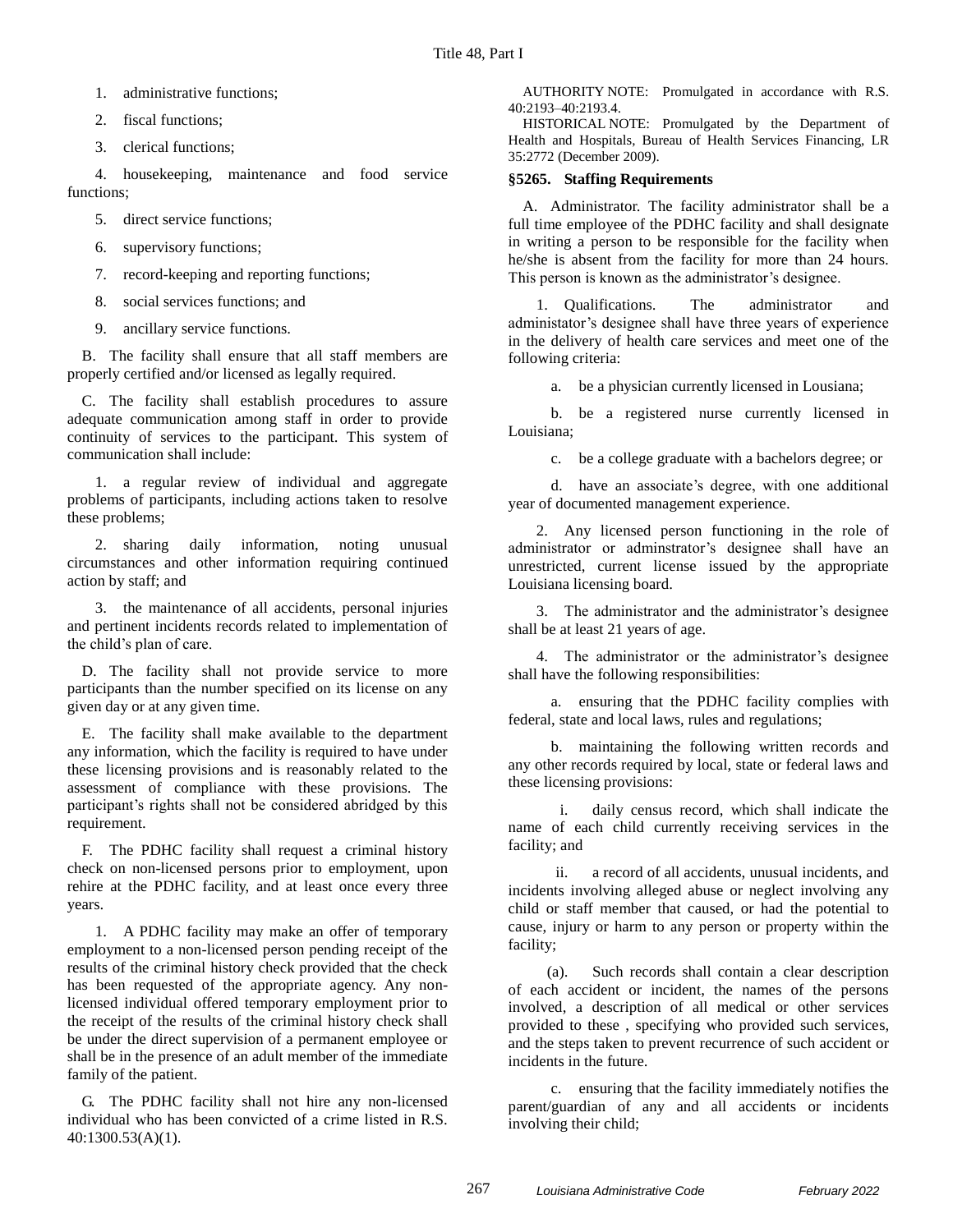- 1. administrative functions;
- 2. fiscal functions;
- 3. clerical functions;

4. housekeeping, maintenance and food service functions;

- 5. direct service functions;
- 6. supervisory functions;
- 7. record-keeping and reporting functions;
- 8. social services functions; and
- 9. ancillary service functions.

B. The facility shall ensure that all staff members are properly certified and/or licensed as legally required.

C. The facility shall establish procedures to assure adequate communication among staff in order to provide continuity of services to the participant. This system of communication shall include:

1. a regular review of individual and aggregate problems of participants, including actions taken to resolve these problems;

2. sharing daily information, noting unusual circumstances and other information requiring continued action by staff; and

3. the maintenance of all accidents, personal injuries and pertinent incidents records related to implementation of the child's plan of care.

D. The facility shall not provide service to more participants than the number specified on its license on any given day or at any given time.

E. The facility shall make available to the department any information, which the facility is required to have under these licensing provisions and is reasonably related to the assessment of compliance with these provisions. The participant's rights shall not be considered abridged by this requirement.

F. The PDHC facility shall request a criminal history check on non-licensed persons prior to employment, upon rehire at the PDHC facility, and at least once every three years.

1. A PDHC facility may make an offer of temporary employment to a non-licensed person pending receipt of the results of the criminal history check provided that the check has been requested of the appropriate agency. Any nonlicensed individual offered temporary employment prior to the receipt of the results of the criminal history check shall be under the direct supervision of a permanent employee or shall be in the presence of an adult member of the immediate family of the patient.

G. The PDHC facility shall not hire any non-licensed individual who has been convicted of a crime listed in R.S. 40:1300.53(A)(1).

AUTHORITY NOTE: Promulgated in accordance with R.S. 40:2193–40:2193.4.

HISTORICAL NOTE: Promulgated by the Department of Health and Hospitals, Bureau of Health Services Financing, LR 35:2772 (December 2009).

## **§5265. Staffing Requirements**

A. Administrator. The facility administrator shall be a full time employee of the PDHC facility and shall designate in writing a person to be responsible for the facility when he/she is absent from the facility for more than 24 hours. This person is known as the administrator's designee.

1. Qualifications. The administrator and administator's designee shall have three years of experience in the delivery of health care services and meet one of the following criteria:

a. be a physician currently licensed in Lousiana;

b. be a registered nurse currently licensed in Louisiana;

c. be a college graduate with a bachelors degree; or

d. have an associate's degree, with one additional year of documented management experience.

2. Any licensed person functioning in the role of administrator or adminstrator's designee shall have an unrestricted, current license issued by the appropriate Louisiana licensing board.

3. The administrator and the administrator's designee shall be at least 21 years of age.

4. The administrator or the administrator's designee shall have the following responsibilities:

a. ensuring that the PDHC facility complies with federal, state and local laws, rules and regulations;

b. maintaining the following written records and any other records required by local, state or federal laws and these licensing provisions:

i. daily census record, which shall indicate the name of each child currently receiving services in the facility; and

ii. a record of all accidents, unusual incidents, and incidents involving alleged abuse or neglect involving any child or staff member that caused, or had the potential to cause, injury or harm to any person or property within the facility;

(a). Such records shall contain a clear description of each accident or incident, the names of the persons involved, a description of all medical or other services provided to these , specifying who provided such services, and the steps taken to prevent recurrence of such accident or incidents in the future.

c. ensuring that the facility immediately notifies the parent/guardian of any and all accidents or incidents involving their child;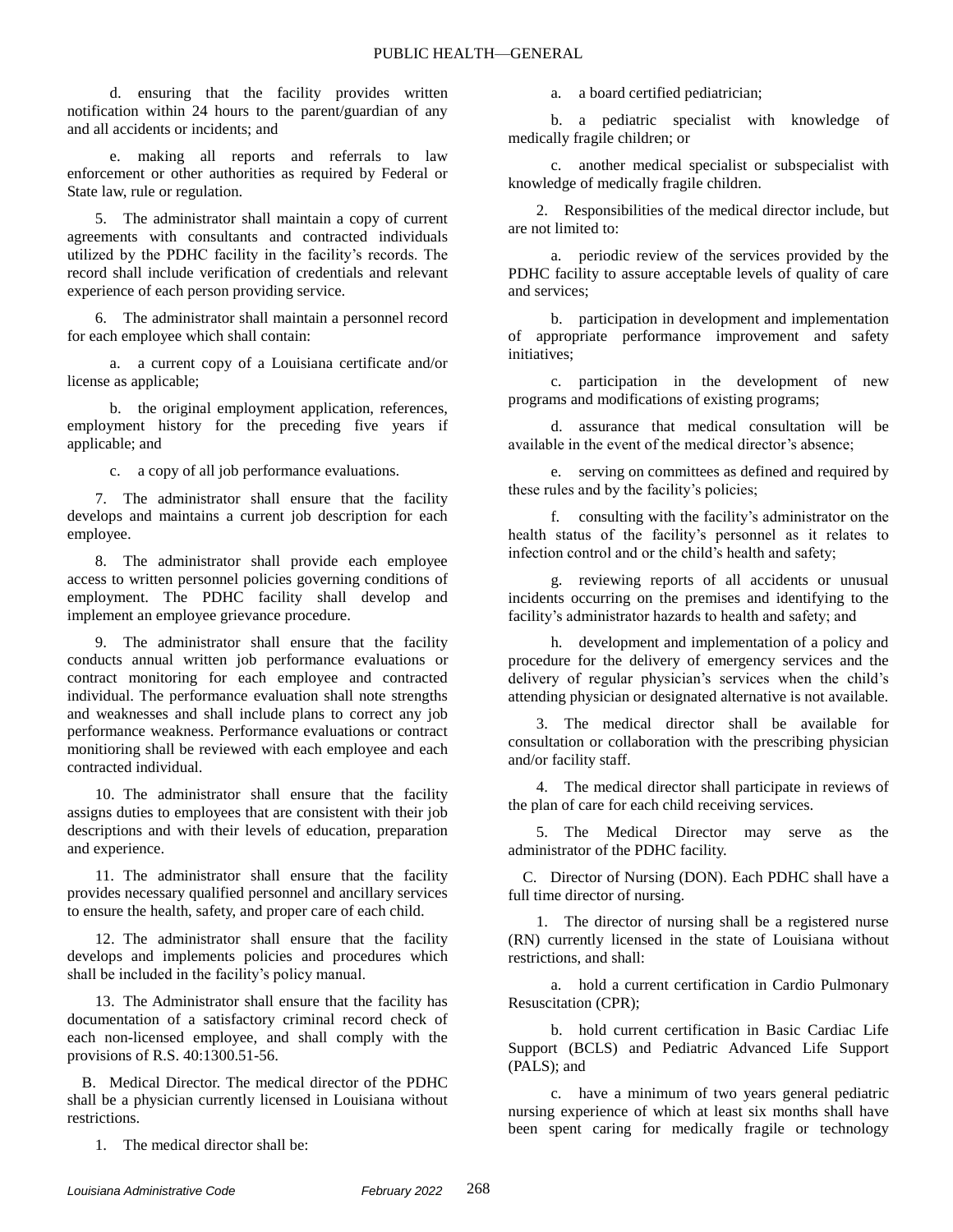d. ensuring that the facility provides written notification within 24 hours to the parent/guardian of any and all accidents or incidents; and

e. making all reports and referrals to law enforcement or other authorities as required by Federal or State law, rule or regulation.

5. The administrator shall maintain a copy of current agreements with consultants and contracted individuals utilized by the PDHC facility in the facility's records. The record shall include verification of credentials and relevant experience of each person providing service.

6. The administrator shall maintain a personnel record for each employee which shall contain:

a. a current copy of a Louisiana certificate and/or license as applicable;

b. the original employment application, references, employment history for the preceding five years if applicable; and

c. a copy of all job performance evaluations.

7. The administrator shall ensure that the facility develops and maintains a current job description for each employee.

8. The administrator shall provide each employee access to written personnel policies governing conditions of employment. The PDHC facility shall develop and implement an employee grievance procedure.

9. The administrator shall ensure that the facility conducts annual written job performance evaluations or contract monitoring for each employee and contracted individual. The performance evaluation shall note strengths and weaknesses and shall include plans to correct any job performance weakness. Performance evaluations or contract monitioring shall be reviewed with each employee and each contracted individual.

10. The administrator shall ensure that the facility assigns duties to employees that are consistent with their job descriptions and with their levels of education, preparation and experience.

11. The administrator shall ensure that the facility provides necessary qualified personnel and ancillary services to ensure the health, safety, and proper care of each child.

12. The administrator shall ensure that the facility develops and implements policies and procedures which shall be included in the facility's policy manual.

13. The Administrator shall ensure that the facility has documentation of a satisfactory criminal record check of each non-licensed employee, and shall comply with the provisions of R.S. 40:1300.51-56.

B. Medical Director. The medical director of the PDHC shall be a physician currently licensed in Louisiana without restrictions.

1. The medical director shall be:

a. a board certified pediatrician;

b. a pediatric specialist with knowledge of medically fragile children; or

c. another medical specialist or subspecialist with knowledge of medically fragile children.

2. Responsibilities of the medical director include, but are not limited to:

a. periodic review of the services provided by the PDHC facility to assure acceptable levels of quality of care and services;

b. participation in development and implementation of appropriate performance improvement and safety initiatives;

c. participation in the development of new programs and modifications of existing programs;

d. assurance that medical consultation will be available in the event of the medical director's absence;

e. serving on committees as defined and required by these rules and by the facility's policies;

f. consulting with the facility's administrator on the health status of the facility's personnel as it relates to infection control and or the child's health and safety;

g. reviewing reports of all accidents or unusual incidents occurring on the premises and identifying to the facility's administrator hazards to health and safety; and

h. development and implementation of a policy and procedure for the delivery of emergency services and the delivery of regular physician's services when the child's attending physician or designated alternative is not available.

3. The medical director shall be available for consultation or collaboration with the prescribing physician and/or facility staff.

4. The medical director shall participate in reviews of the plan of care for each child receiving services.

5. The Medical Director may serve as the administrator of the PDHC facility.

C. Director of Nursing (DON). Each PDHC shall have a full time director of nursing.

1. The director of nursing shall be a registered nurse (RN) currently licensed in the state of Louisiana without restrictions, and shall:

a. hold a current certification in Cardio Pulmonary Resuscitation (CPR);

b. hold current certification in Basic Cardiac Life Support (BCLS) and Pediatric Advanced Life Support (PALS); and

c. have a minimum of two years general pediatric nursing experience of which at least six months shall have been spent caring for medically fragile or technology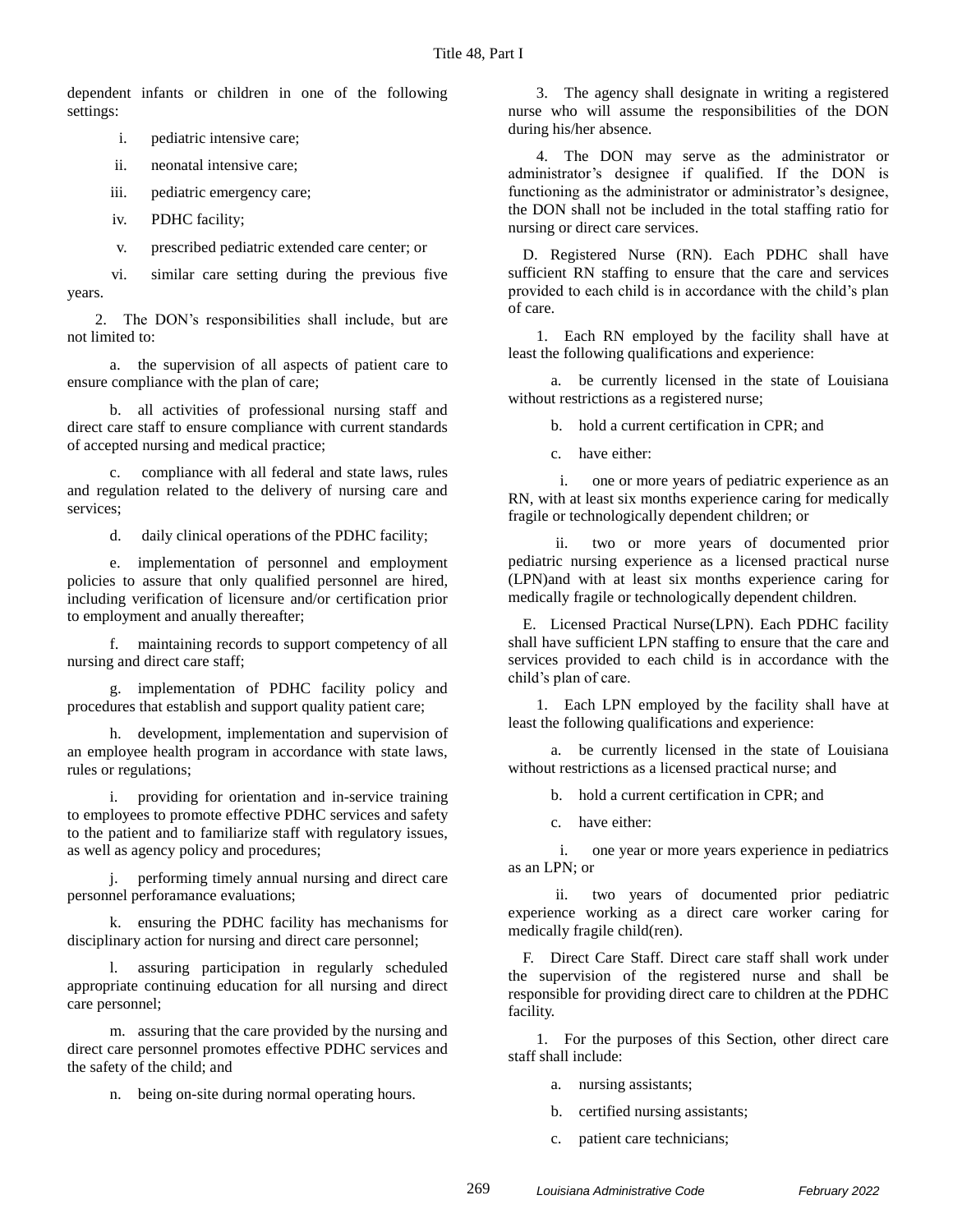dependent infants or children in one of the following settings:

i. pediatric intensive care;

ii. neonatal intensive care;

iii. pediatric emergency care;

iv. PDHC facility;

v. prescribed pediatric extended care center; or

vi. similar care setting during the previous five years.

2. The DON's responsibilities shall include, but are not limited to:

a. the supervision of all aspects of patient care to ensure compliance with the plan of care;

b. all activities of professional nursing staff and direct care staff to ensure compliance with current standards of accepted nursing and medical practice;

c. compliance with all federal and state laws, rules and regulation related to the delivery of nursing care and services;

d. daily clinical operations of the PDHC facility;

e. implementation of personnel and employment policies to assure that only qualified personnel are hired, including verification of licensure and/or certification prior to employment and anually thereafter;

f. maintaining records to support competency of all nursing and direct care staff;

g. implementation of PDHC facility policy and procedures that establish and support quality patient care;

h. development, implementation and supervision of an employee health program in accordance with state laws, rules or regulations;

providing for orientation and in-service training to employees to promote effective PDHC services and safety to the patient and to familiarize staff with regulatory issues, as well as agency policy and procedures;

performing timely annual nursing and direct care personnel perforamance evaluations;

k. ensuring the PDHC facility has mechanisms for disciplinary action for nursing and direct care personnel;

l. assuring participation in regularly scheduled appropriate continuing education for all nursing and direct care personnel;

m. assuring that the care provided by the nursing and direct care personnel promotes effective PDHC services and the safety of the child; and

n. being on-site during normal operating hours.

3. The agency shall designate in writing a registered nurse who will assume the responsibilities of the DON during his/her absence.

4. The DON may serve as the administrator or administrator's designee if qualified. If the DON is functioning as the administrator or administrator's designee, the DON shall not be included in the total staffing ratio for nursing or direct care services.

D. Registered Nurse (RN). Each PDHC shall have sufficient RN staffing to ensure that the care and services provided to each child is in accordance with the child's plan of care.

1. Each RN employed by the facility shall have at least the following qualifications and experience:

a. be currently licensed in the state of Louisiana without restrictions as a registered nurse;

b. hold a current certification in CPR; and

c. have either:

i. one or more years of pediatric experience as an RN, with at least six months experience caring for medically fragile or technologically dependent children; or

ii. two or more years of documented prior pediatric nursing experience as a licensed practical nurse (LPN)and with at least six months experience caring for medically fragile or technologically dependent children.

E. Licensed Practical Nurse(LPN). Each PDHC facility shall have sufficient LPN staffing to ensure that the care and services provided to each child is in accordance with the child's plan of care.

1. Each LPN employed by the facility shall have at least the following qualifications and experience:

a. be currently licensed in the state of Louisiana without restrictions as a licensed practical nurse; and

b. hold a current certification in CPR; and

c. have either:

i. one year or more years experience in pediatrics as an LPN; or

ii. two years of documented prior pediatric experience working as a direct care worker caring for medically fragile child(ren).

F. Direct Care Staff. Direct care staff shall work under the supervision of the registered nurse and shall be responsible for providing direct care to children at the PDHC facility.

1. For the purposes of this Section, other direct care staff shall include:

a. nursing assistants;

- b. certified nursing assistants;
- c. patient care technicians;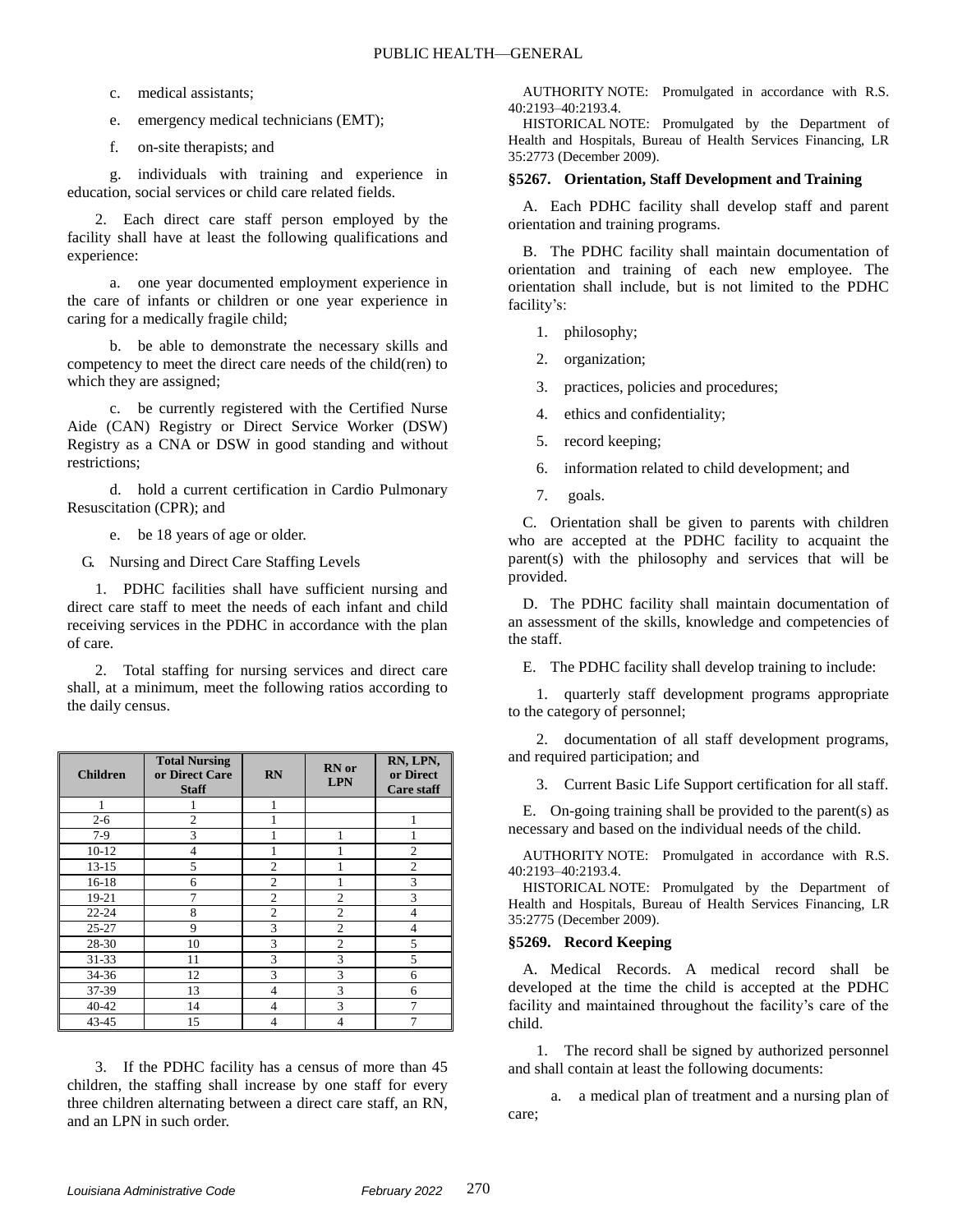c. medical assistants;

e. emergency medical technicians (EMT);

f. on-site therapists; and

g. individuals with training and experience in education, social services or child care related fields.

2. Each direct care staff person employed by the facility shall have at least the following qualifications and experience:

a. one year documented employment experience in the care of infants or children or one year experience in caring for a medically fragile child;

b. be able to demonstrate the necessary skills and competency to meet the direct care needs of the child(ren) to which they are assigned;

c. be currently registered with the Certified Nurse Aide (CAN) Registry or Direct Service Worker (DSW) Registry as a CNA or DSW in good standing and without restrictions;

d. hold a current certification in Cardio Pulmonary Resuscitation (CPR); and

e. be 18 years of age or older.

G. Nursing and Direct Care Staffing Levels

1. PDHC facilities shall have sufficient nursing and direct care staff to meet the needs of each infant and child receiving services in the PDHC in accordance with the plan of care.

2. Total staffing for nursing services and direct care shall, at a minimum, meet the following ratios according to the daily census.

| <b>Children</b> | <b>Total Nursing</b><br>or Direct Care<br><b>Staff</b> | <b>RN</b>      | <b>RN</b> or<br><b>LPN</b> | RN, LPN,<br>or Direct<br><b>Care staff</b> |
|-----------------|--------------------------------------------------------|----------------|----------------------------|--------------------------------------------|
| 1               |                                                        | 1              |                            |                                            |
| $2 - 6$         | $\overline{c}$                                         |                |                            |                                            |
| $7-9$           | 3                                                      |                | 1                          |                                            |
| $10 - 12$       | 4                                                      |                |                            | $\overline{c}$                             |
| $13 - 15$       | 5                                                      | $\overline{c}$ |                            | $\overline{2}$                             |
| $16-18$         | 6                                                      | $\overline{c}$ |                            | 3                                          |
| 19-21           | 7                                                      | $\overline{c}$ | $\mathfrak{D}$             | 3                                          |
| $22 - 24$       | 8                                                      | $\overline{c}$ | $\mathfrak{D}$             | 4                                          |
| $25 - 27$       | 9                                                      | 3              | $\overline{c}$             | 4                                          |
| 28-30           | 10                                                     | 3              | $\overline{c}$             | 5                                          |
| 31-33           | 11                                                     | 3              | 3                          | 5                                          |
| 34-36           | 12                                                     | 3              | 3                          | 6                                          |
| 37-39           | 13                                                     | 4              | 3                          | 6                                          |
| 40-42           | 14                                                     | 4              | 3                          | 7                                          |
| 43-45           | 15                                                     | 4              |                            |                                            |

3. If the PDHC facility has a census of more than 45 children, the staffing shall increase by one staff for every three children alternating between a direct care staff, an RN, and an LPN in such order.

AUTHORITY NOTE: Promulgated in accordance with R.S. 40:2193–40:2193.4.

HISTORICAL NOTE: Promulgated by the Department of Health and Hospitals, Bureau of Health Services Financing, LR 35:2773 (December 2009).

#### **§5267. Orientation, Staff Development and Training**

A. Each PDHC facility shall develop staff and parent orientation and training programs.

B. The PDHC facility shall maintain documentation of orientation and training of each new employee. The orientation shall include, but is not limited to the PDHC facility's:

1. philosophy;

2. organization;

3. practices, policies and procedures;

4. ethics and confidentiality;

5. record keeping;

6. information related to child development; and

7. goals.

C. Orientation shall be given to parents with children who are accepted at the PDHC facility to acquaint the parent(s) with the philosophy and services that will be provided.

D. The PDHC facility shall maintain documentation of an assessment of the skills, knowledge and competencies of the staff.

E. The PDHC facility shall develop training to include:

1. quarterly staff development programs appropriate to the category of personnel;

2. documentation of all staff development programs, and required participation; and

3. Current Basic Life Support certification for all staff.

E. On-going training shall be provided to the parent(s) as necessary and based on the individual needs of the child.

AUTHORITY NOTE: Promulgated in accordance with R.S. 40:2193–40:2193.4.

HISTORICAL NOTE: Promulgated by the Department of Health and Hospitals, Bureau of Health Services Financing, LR 35:2775 (December 2009).

#### **§5269. Record Keeping**

A. Medical Records. A medical record shall be developed at the time the child is accepted at the PDHC facility and maintained throughout the facility's care of the child.

1. The record shall be signed by authorized personnel and shall contain at least the following documents:

a. a medical plan of treatment and a nursing plan of care;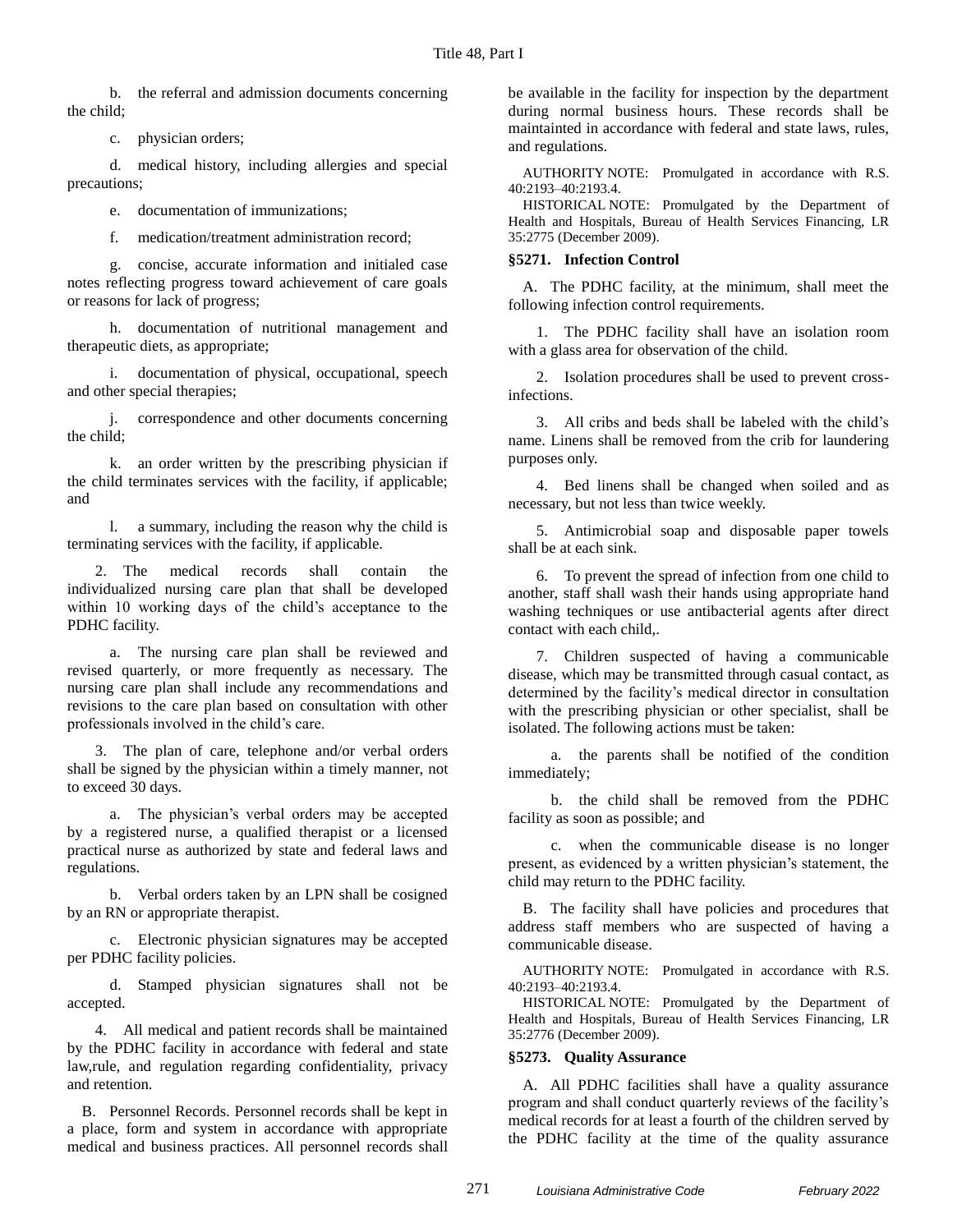b. the referral and admission documents concerning the child;

c. physician orders;

d. medical history, including allergies and special precautions;

e. documentation of immunizations;

f. medication/treatment administration record;

g. concise, accurate information and initialed case notes reflecting progress toward achievement of care goals or reasons for lack of progress;

h. documentation of nutritional management and therapeutic diets, as appropriate;

i. documentation of physical, occupational, speech and other special therapies;

j. correspondence and other documents concerning the child;

k. an order written by the prescribing physician if the child terminates services with the facility, if applicable; and

l. a summary, including the reason why the child is terminating services with the facility, if applicable.

2. The medical records shall contain the individualized nursing care plan that shall be developed within 10 working days of the child's acceptance to the PDHC facility.

a. The nursing care plan shall be reviewed and revised quarterly, or more frequently as necessary. The nursing care plan shall include any recommendations and revisions to the care plan based on consultation with other professionals involved in the child's care.

3. The plan of care, telephone and/or verbal orders shall be signed by the physician within a timely manner, not to exceed 30 days.

a. The physician's verbal orders may be accepted by a registered nurse, a qualified therapist or a licensed practical nurse as authorized by state and federal laws and regulations.

b. Verbal orders taken by an LPN shall be cosigned by an RN or appropriate therapist.

c. Electronic physician signatures may be accepted per PDHC facility policies.

d. Stamped physician signatures shall not be accepted.

4. All medical and patient records shall be maintained by the PDHC facility in accordance with federal and state law,rule, and regulation regarding confidentiality, privacy and retention.

B. Personnel Records. Personnel records shall be kept in a place, form and system in accordance with appropriate medical and business practices. All personnel records shall be available in the facility for inspection by the department during normal business hours. These records shall be maintainted in accordance with federal and state laws, rules, and regulations.

AUTHORITY NOTE: Promulgated in accordance with R.S. 40:2193–40:2193.4.

HISTORICAL NOTE: Promulgated by the Department of Health and Hospitals, Bureau of Health Services Financing, LR 35:2775 (December 2009).

## **§5271. Infection Control**

A. The PDHC facility, at the minimum, shall meet the following infection control requirements.

1. The PDHC facility shall have an isolation room with a glass area for observation of the child.

2. Isolation procedures shall be used to prevent crossinfections.

3. All cribs and beds shall be labeled with the child's name. Linens shall be removed from the crib for laundering purposes only.

4. Bed linens shall be changed when soiled and as necessary, but not less than twice weekly.

5. Antimicrobial soap and disposable paper towels shall be at each sink.

6. To prevent the spread of infection from one child to another, staff shall wash their hands using appropriate hand washing techniques or use antibacterial agents after direct contact with each child,.

7. Children suspected of having a communicable disease, which may be transmitted through casual contact, as determined by the facility's medical director in consultation with the prescribing physician or other specialist, shall be isolated. The following actions must be taken:

a. the parents shall be notified of the condition immediately;

b. the child shall be removed from the PDHC facility as soon as possible; and

c. when the communicable disease is no longer present, as evidenced by a written physician's statement, the child may return to the PDHC facility.

B. The facility shall have policies and procedures that address staff members who are suspected of having a communicable disease.

AUTHORITY NOTE: Promulgated in accordance with R.S. 40:2193–40:2193.4.

HISTORICAL NOTE: Promulgated by the Department of Health and Hospitals, Bureau of Health Services Financing, LR 35:2776 (December 2009).

#### **§5273. Quality Assurance**

A. All PDHC facilities shall have a quality assurance program and shall conduct quarterly reviews of the facility's medical records for at least a fourth of the children served by the PDHC facility at the time of the quality assurance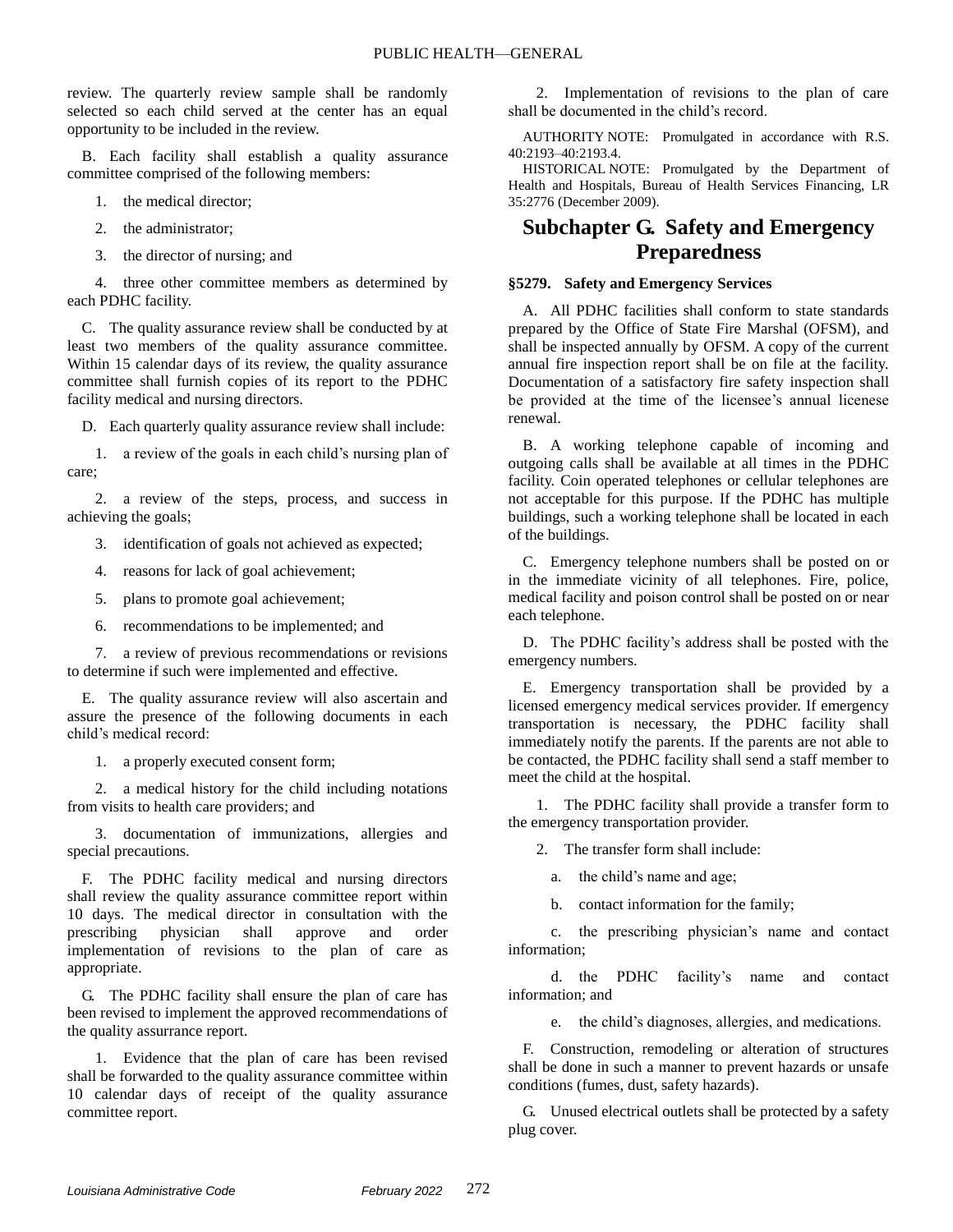review. The quarterly review sample shall be randomly selected so each child served at the center has an equal opportunity to be included in the review.

B. Each facility shall establish a quality assurance committee comprised of the following members:

- 1. the medical director;
- 2. the administrator;
- 3. the director of nursing; and

4. three other committee members as determined by each PDHC facility.

C. The quality assurance review shall be conducted by at least two members of the quality assurance committee. Within 15 calendar days of its review, the quality assurance committee shall furnish copies of its report to the PDHC facility medical and nursing directors.

D. Each quarterly quality assurance review shall include:

1. a review of the goals in each child's nursing plan of care;

2. a review of the steps, process, and success in achieving the goals;

3. identification of goals not achieved as expected;

4. reasons for lack of goal achievement;

5. plans to promote goal achievement;

6. recommendations to be implemented; and

7. a review of previous recommendations or revisions to determine if such were implemented and effective.

E. The quality assurance review will also ascertain and assure the presence of the following documents in each child's medical record:

1. a properly executed consent form;

2. a medical history for the child including notations from visits to health care providers; and

3. documentation of immunizations, allergies and special precautions.

F. The PDHC facility medical and nursing directors shall review the quality assurance committee report within 10 days. The medical director in consultation with the prescribing physician shall approve and order implementation of revisions to the plan of care as appropriate.

G. The PDHC facility shall ensure the plan of care has been revised to implement the approved recommendations of the quality assurrance report.

1. Evidence that the plan of care has been revised shall be forwarded to the quality assurance committee within 10 calendar days of receipt of the quality assurance committee report.

2. Implementation of revisions to the plan of care shall be documented in the child's record.

AUTHORITY NOTE: Promulgated in accordance with R.S. 40:2193–40:2193.4.

HISTORICAL NOTE: Promulgated by the Department of Health and Hospitals, Bureau of Health Services Financing, LR 35:2776 (December 2009).

## **Subchapter G. Safety and Emergency Preparedness**

### **§5279. Safety and Emergency Services**

A. All PDHC facilities shall conform to state standards prepared by the Office of State Fire Marshal (OFSM), and shall be inspected annually by OFSM. A copy of the current annual fire inspection report shall be on file at the facility. Documentation of a satisfactory fire safety inspection shall be provided at the time of the licensee's annual licenese renewal.

B. A working telephone capable of incoming and outgoing calls shall be available at all times in the PDHC facility. Coin operated telephones or cellular telephones are not acceptable for this purpose. If the PDHC has multiple buildings, such a working telephone shall be located in each of the buildings.

C. Emergency telephone numbers shall be posted on or in the immediate vicinity of all telephones. Fire, police, medical facility and poison control shall be posted on or near each telephone.

D. The PDHC facility's address shall be posted with the emergency numbers.

E. Emergency transportation shall be provided by a licensed emergency medical services provider. If emergency transportation is necessary, the PDHC facility shall immediately notify the parents. If the parents are not able to be contacted, the PDHC facility shall send a staff member to meet the child at the hospital.

1. The PDHC facility shall provide a transfer form to the emergency transportation provider.

2. The transfer form shall include:

a. the child's name and age;

b. contact information for the family;

c. the prescribing physician's name and contact information;

d. the PDHC facility's name and contact information; and

e. the child's diagnoses, allergies, and medications.

F. Construction, remodeling or alteration of structures shall be done in such a manner to prevent hazards or unsafe conditions (fumes, dust, safety hazards).

G. Unused electrical outlets shall be protected by a safety plug cover.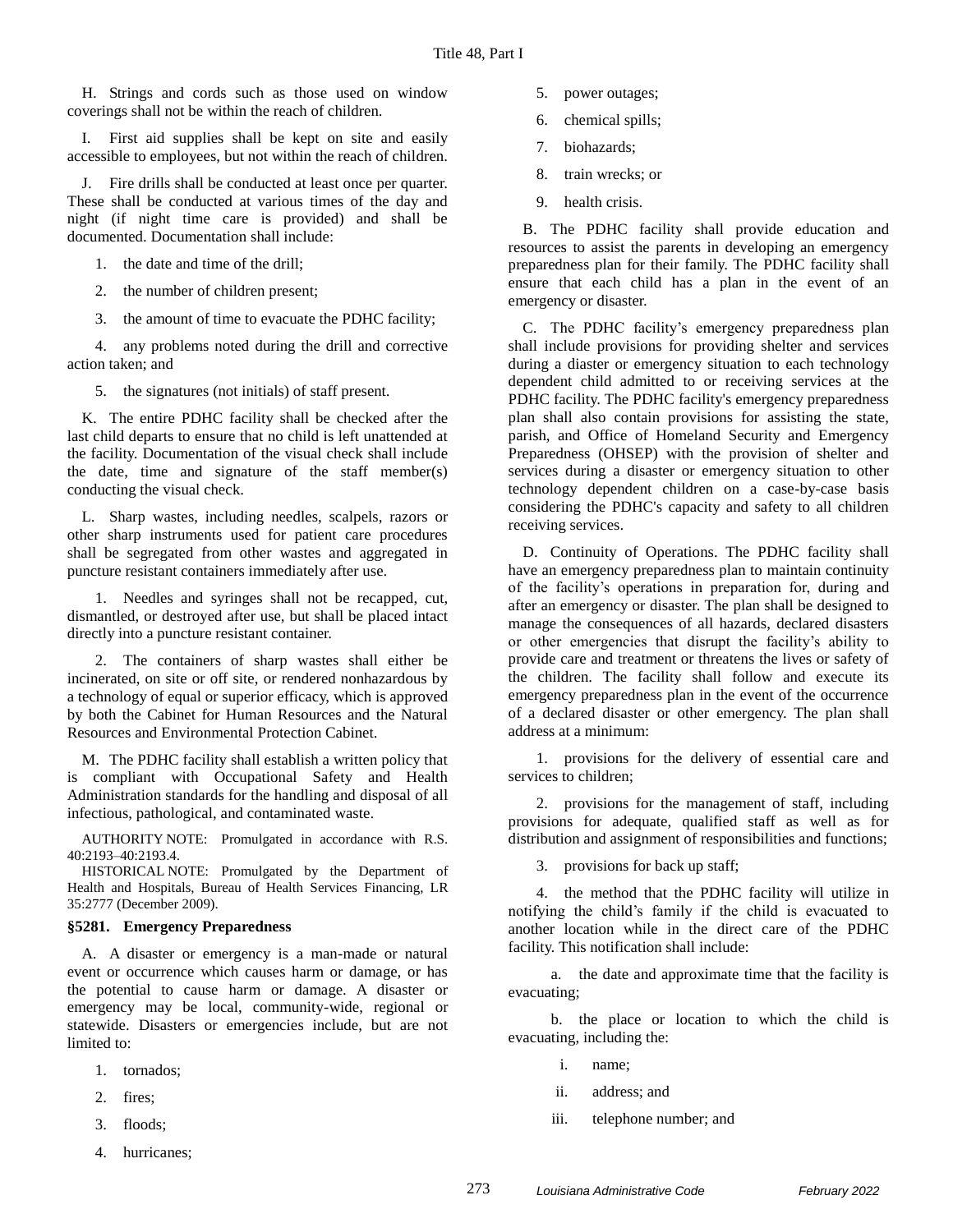H. Strings and cords such as those used on window coverings shall not be within the reach of children.

I. First aid supplies shall be kept on site and easily accessible to employees, but not within the reach of children.

J. Fire drills shall be conducted at least once per quarter. These shall be conducted at various times of the day and night (if night time care is provided) and shall be documented. Documentation shall include:

1. the date and time of the drill;

2. the number of children present;

3. the amount of time to evacuate the PDHC facility;

4. any problems noted during the drill and corrective action taken; and

5. the signatures (not initials) of staff present.

K. The entire PDHC facility shall be checked after the last child departs to ensure that no child is left unattended at the facility. Documentation of the visual check shall include the date, time and signature of the staff member(s) conducting the visual check.

L. Sharp wastes, including needles, scalpels, razors or other sharp instruments used for patient care procedures shall be segregated from other wastes and aggregated in puncture resistant containers immediately after use.

1. Needles and syringes shall not be recapped, cut, dismantled, or destroyed after use, but shall be placed intact directly into a puncture resistant container.

2. The containers of sharp wastes shall either be incinerated, on site or off site, or rendered nonhazardous by a technology of equal or superior efficacy, which is approved by both the Cabinet for Human Resources and the Natural Resources and Environmental Protection Cabinet.

M. The PDHC facility shall establish a written policy that is compliant with Occupational Safety and Health Administration standards for the handling and disposal of all infectious, pathological, and contaminated waste.

AUTHORITY NOTE: Promulgated in accordance with R.S. 40:2193–40:2193.4.

HISTORICAL NOTE: Promulgated by the Department of Health and Hospitals, Bureau of Health Services Financing, LR 35:2777 (December 2009).

#### **§5281. Emergency Preparedness**

A. A disaster or emergency is a man-made or natural event or occurrence which causes harm or damage, or has the potential to cause harm or damage. A disaster or emergency may be local, community-wide, regional or statewide. Disasters or emergencies include, but are not limited to:

- 1. tornados;
- 2. fires;
- 3. floods;
- 4. hurricanes;
- 5. power outages;
- 6. chemical spills;
- 7. biohazards;
- 8. train wrecks; or
- 9. health crisis.

B. The PDHC facility shall provide education and resources to assist the parents in developing an emergency preparedness plan for their family. The PDHC facility shall ensure that each child has a plan in the event of an emergency or disaster.

C. The PDHC facility's emergency preparedness plan shall include provisions for providing shelter and services during a diaster or emergency situation to each technology dependent child admitted to or receiving services at the PDHC facility. The PDHC facility's emergency preparedness plan shall also contain provisions for assisting the state, parish, and Office of Homeland Security and Emergency Preparedness (OHSEP) with the provision of shelter and services during a disaster or emergency situation to other technology dependent children on a case-by-case basis considering the PDHC's capacity and safety to all children receiving services.

D. Continuity of Operations. The PDHC facility shall have an emergency preparedness plan to maintain continuity of the facility's operations in preparation for, during and after an emergency or disaster. The plan shall be designed to manage the consequences of all hazards, declared disasters or other emergencies that disrupt the facility's ability to provide care and treatment or threatens the lives or safety of the children. The facility shall follow and execute its emergency preparedness plan in the event of the occurrence of a declared disaster or other emergency. The plan shall address at a minimum:

1. provisions for the delivery of essential care and services to children;

2. provisions for the management of staff, including provisions for adequate, qualified staff as well as for distribution and assignment of responsibilities and functions;

3. provisions for back up staff;

4. the method that the PDHC facility will utilize in notifying the child's family if the child is evacuated to another location while in the direct care of the PDHC facility. This notification shall include:

a. the date and approximate time that the facility is evacuating;

b. the place or location to which the child is evacuating, including the:

- i. name;
- ii. address; and
- iii. telephone number; and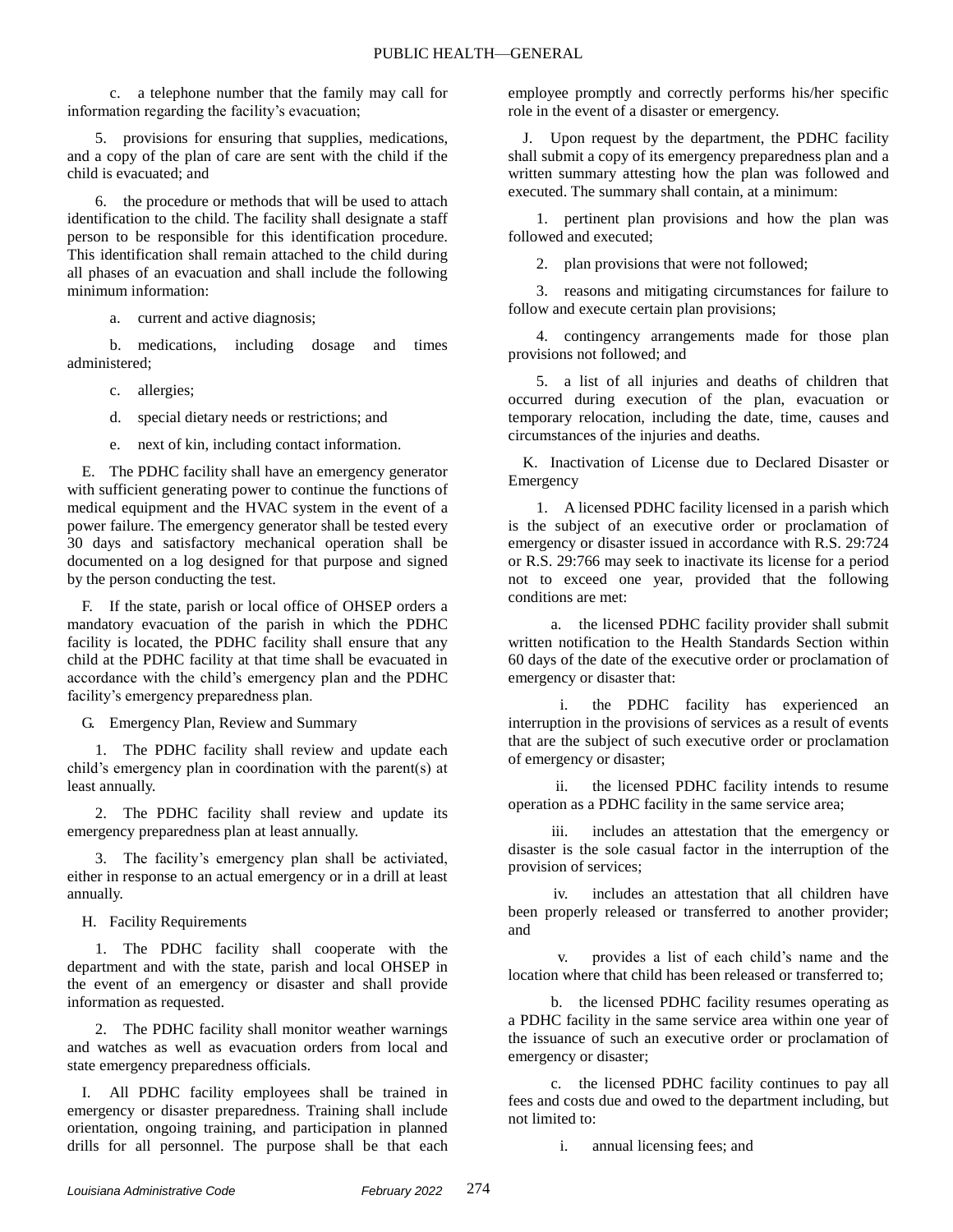c. a telephone number that the family may call for information regarding the facility's evacuation;

5. provisions for ensuring that supplies, medications, and a copy of the plan of care are sent with the child if the child is evacuated; and

6. the procedure or methods that will be used to attach identification to the child. The facility shall designate a staff person to be responsible for this identification procedure. This identification shall remain attached to the child during all phases of an evacuation and shall include the following minimum information:

a. current and active diagnosis;

b. medications, including dosage and times administered;

c. allergies;

d. special dietary needs or restrictions; and

e. next of kin, including contact information.

E. The PDHC facility shall have an emergency generator with sufficient generating power to continue the functions of medical equipment and the HVAC system in the event of a power failure. The emergency generator shall be tested every 30 days and satisfactory mechanical operation shall be documented on a log designed for that purpose and signed by the person conducting the test.

F. If the state, parish or local office of OHSEP orders a mandatory evacuation of the parish in which the PDHC facility is located, the PDHC facility shall ensure that any child at the PDHC facility at that time shall be evacuated in accordance with the child's emergency plan and the PDHC facility's emergency preparedness plan.

G. Emergency Plan, Review and Summary

1. The PDHC facility shall review and update each child's emergency plan in coordination with the parent(s) at least annually.

2. The PDHC facility shall review and update its emergency preparedness plan at least annually.

3. The facility's emergency plan shall be activiated, either in response to an actual emergency or in a drill at least annually.

H. Facility Requirements

1. The PDHC facility shall cooperate with the department and with the state, parish and local OHSEP in the event of an emergency or disaster and shall provide information as requested.

2. The PDHC facility shall monitor weather warnings and watches as well as evacuation orders from local and state emergency preparedness officials.

I. All PDHC facility employees shall be trained in emergency or disaster preparedness. Training shall include orientation, ongoing training, and participation in planned drills for all personnel. The purpose shall be that each employee promptly and correctly performs his/her specific role in the event of a disaster or emergency.

J. Upon request by the department, the PDHC facility shall submit a copy of its emergency preparedness plan and a written summary attesting how the plan was followed and executed. The summary shall contain, at a minimum:

1. pertinent plan provisions and how the plan was followed and executed;

2. plan provisions that were not followed;

3. reasons and mitigating circumstances for failure to follow and execute certain plan provisions;

4. contingency arrangements made for those plan provisions not followed; and

5. a list of all injuries and deaths of children that occurred during execution of the plan, evacuation or temporary relocation, including the date, time, causes and circumstances of the injuries and deaths.

K. Inactivation of License due to Declared Disaster or Emergency

1. A licensed PDHC facility licensed in a parish which is the subject of an executive order or proclamation of emergency or disaster issued in accordance with R.S. 29:724 or R.S. 29:766 may seek to inactivate its license for a period not to exceed one year, provided that the following conditions are met:

a. the licensed PDHC facility provider shall submit written notification to the Health Standards Section within 60 days of the date of the executive order or proclamation of emergency or disaster that:

i. the PDHC facility has experienced an interruption in the provisions of services as a result of events that are the subject of such executive order or proclamation of emergency or disaster;

ii. the licensed PDHC facility intends to resume operation as a PDHC facility in the same service area;

iii. includes an attestation that the emergency or disaster is the sole casual factor in the interruption of the provision of services;

iv. includes an attestation that all children have been properly released or transferred to another provider; and

v. provides a list of each child's name and the location where that child has been released or transferred to;

b. the licensed PDHC facility resumes operating as a PDHC facility in the same service area within one year of the issuance of such an executive order or proclamation of emergency or disaster;

c. the licensed PDHC facility continues to pay all fees and costs due and owed to the department including, but not limited to:

i. annual licensing fees; and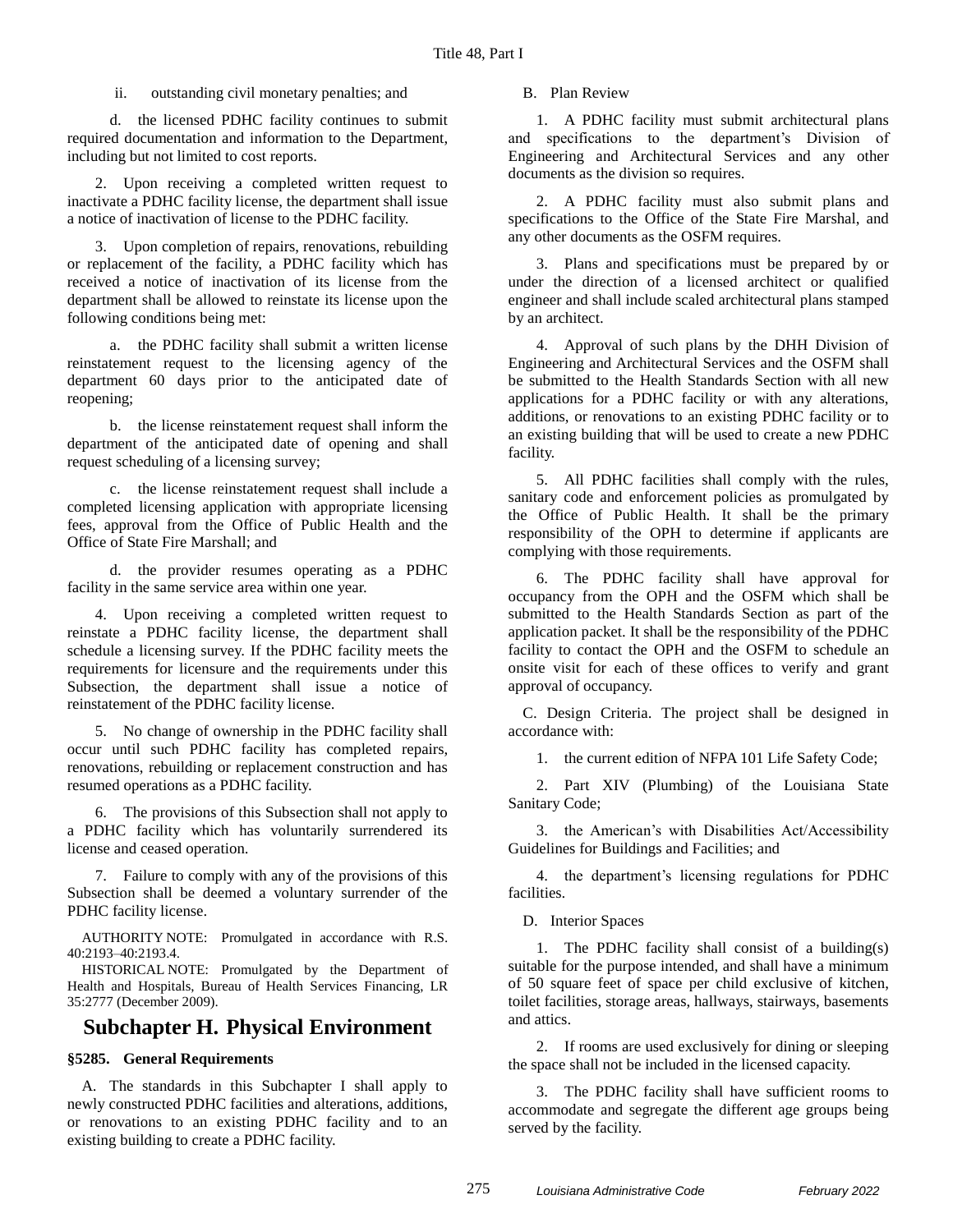ii. outstanding civil monetary penalties; and

d. the licensed PDHC facility continues to submit required documentation and information to the Department, including but not limited to cost reports.

2. Upon receiving a completed written request to inactivate a PDHC facility license, the department shall issue a notice of inactivation of license to the PDHC facility.

3. Upon completion of repairs, renovations, rebuilding or replacement of the facility, a PDHC facility which has received a notice of inactivation of its license from the department shall be allowed to reinstate its license upon the following conditions being met:

a. the PDHC facility shall submit a written license reinstatement request to the licensing agency of the department 60 days prior to the anticipated date of reopening;

b. the license reinstatement request shall inform the department of the anticipated date of opening and shall request scheduling of a licensing survey;

c. the license reinstatement request shall include a completed licensing application with appropriate licensing fees, approval from the Office of Public Health and the Office of State Fire Marshall; and

d. the provider resumes operating as a PDHC facility in the same service area within one year.

4. Upon receiving a completed written request to reinstate a PDHC facility license, the department shall schedule a licensing survey. If the PDHC facility meets the requirements for licensure and the requirements under this Subsection, the department shall issue a notice of reinstatement of the PDHC facility license.

5. No change of ownership in the PDHC facility shall occur until such PDHC facility has completed repairs, renovations, rebuilding or replacement construction and has resumed operations as a PDHC facility.

6. The provisions of this Subsection shall not apply to a PDHC facility which has voluntarily surrendered its license and ceased operation.

7. Failure to comply with any of the provisions of this Subsection shall be deemed a voluntary surrender of the PDHC facility license.

AUTHORITY NOTE: Promulgated in accordance with R.S. 40:2193–40:2193.4.

HISTORICAL NOTE: Promulgated by the Department of Health and Hospitals, Bureau of Health Services Financing, LR 35:2777 (December 2009).

## **Subchapter H. Physical Environment**

## **§5285. General Requirements**

A. The standards in this Subchapter I shall apply to newly constructed PDHC facilities and alterations, additions, or renovations to an existing PDHC facility and to an existing building to create a PDHC facility.

B. Plan Review

1. A PDHC facility must submit architectural plans and specifications to the department's Division of Engineering and Architectural Services and any other documents as the division so requires.

2. A PDHC facility must also submit plans and specifications to the Office of the State Fire Marshal, and any other documents as the OSFM requires.

3. Plans and specifications must be prepared by or under the direction of a licensed architect or qualified engineer and shall include scaled architectural plans stamped by an architect.

4. Approval of such plans by the DHH Division of Engineering and Architectural Services and the OSFM shall be submitted to the Health Standards Section with all new applications for a PDHC facility or with any alterations, additions, or renovations to an existing PDHC facility or to an existing building that will be used to create a new PDHC facility.

5. All PDHC facilities shall comply with the rules, sanitary code and enforcement policies as promulgated by the Office of Public Health. It shall be the primary responsibility of the OPH to determine if applicants are complying with those requirements.

6. The PDHC facility shall have approval for occupancy from the OPH and the OSFM which shall be submitted to the Health Standards Section as part of the application packet. It shall be the responsibility of the PDHC facility to contact the OPH and the OSFM to schedule an onsite visit for each of these offices to verify and grant approval of occupancy.

C. Design Criteria. The project shall be designed in accordance with:

1. the current edition of NFPA 101 Life Safety Code;

2. Part XIV (Plumbing) of the Louisiana State Sanitary Code;

3. the American's with Disabilities Act/Accessibility Guidelines for Buildings and Facilities; and

4. the department's licensing regulations for PDHC facilities.

D. Interior Spaces

1. The PDHC facility shall consist of a building(s) suitable for the purpose intended, and shall have a minimum of 50 square feet of space per child exclusive of kitchen, toilet facilities, storage areas, hallways, stairways, basements and attics.

2. If rooms are used exclusively for dining or sleeping the space shall not be included in the licensed capacity.

3. The PDHC facility shall have sufficient rooms to accommodate and segregate the different age groups being served by the facility.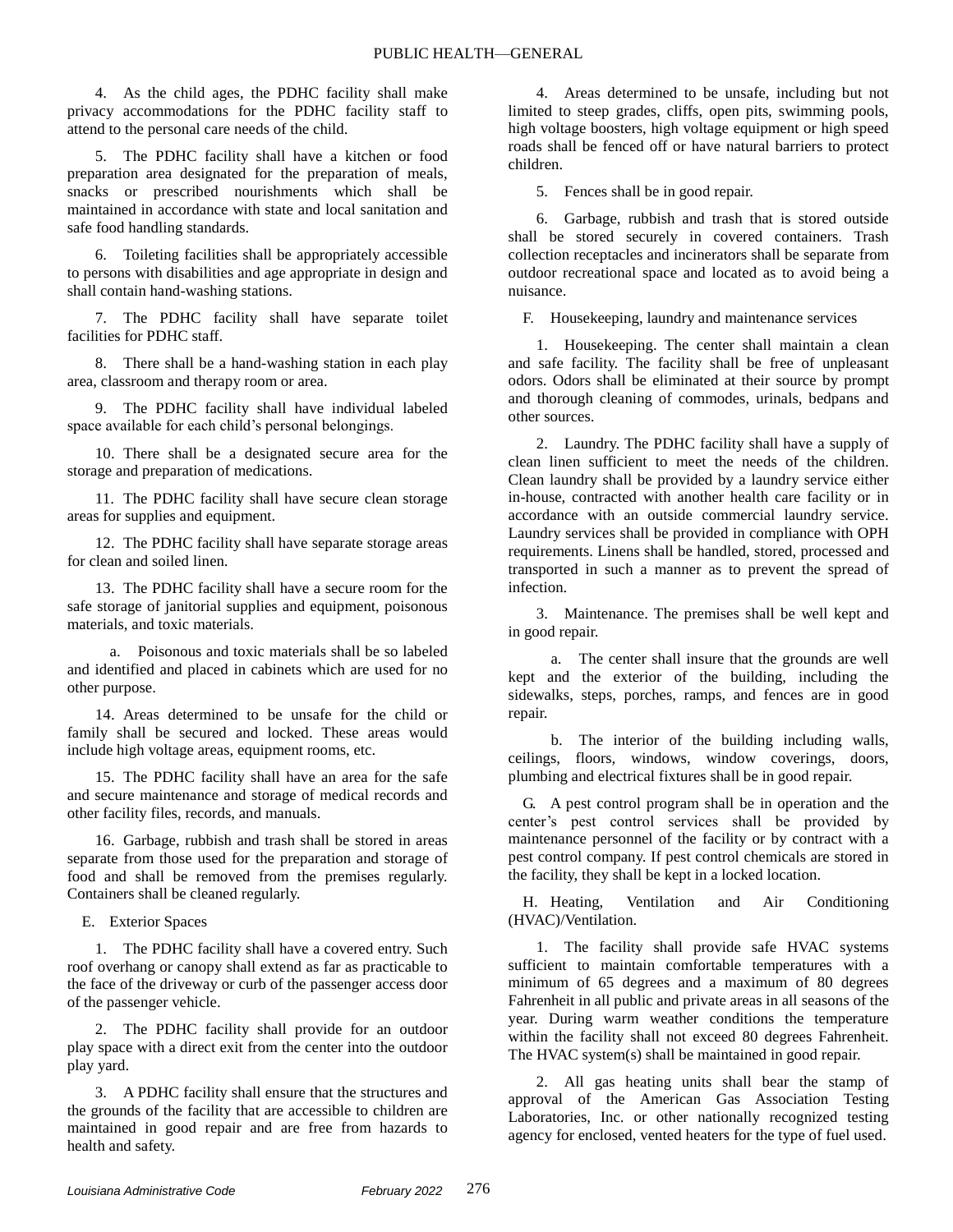4. As the child ages, the PDHC facility shall make privacy accommodations for the PDHC facility staff to attend to the personal care needs of the child.

5. The PDHC facility shall have a kitchen or food preparation area designated for the preparation of meals, snacks or prescribed nourishments which shall be maintained in accordance with state and local sanitation and safe food handling standards.

6. Toileting facilities shall be appropriately accessible to persons with disabilities and age appropriate in design and shall contain hand-washing stations.

7. The PDHC facility shall have separate toilet facilities for PDHC staff.

8. There shall be a hand-washing station in each play area, classroom and therapy room or area.

9. The PDHC facility shall have individual labeled space available for each child's personal belongings.

10. There shall be a designated secure area for the storage and preparation of medications.

11. The PDHC facility shall have secure clean storage areas for supplies and equipment.

12. The PDHC facility shall have separate storage areas for clean and soiled linen.

13. The PDHC facility shall have a secure room for the safe storage of janitorial supplies and equipment, poisonous materials, and toxic materials.

a. Poisonous and toxic materials shall be so labeled and identified and placed in cabinets which are used for no other purpose.

14. Areas determined to be unsafe for the child or family shall be secured and locked. These areas would include high voltage areas, equipment rooms, etc.

15. The PDHC facility shall have an area for the safe and secure maintenance and storage of medical records and other facility files, records, and manuals.

16. Garbage, rubbish and trash shall be stored in areas separate from those used for the preparation and storage of food and shall be removed from the premises regularly. Containers shall be cleaned regularly.

E. Exterior Spaces

1. The PDHC facility shall have a covered entry. Such roof overhang or canopy shall extend as far as practicable to the face of the driveway or curb of the passenger access door of the passenger vehicle.

The PDHC facility shall provide for an outdoor play space with a direct exit from the center into the outdoor play yard.

3. A PDHC facility shall ensure that the structures and the grounds of the facility that are accessible to children are maintained in good repair and are free from hazards to health and safety.

4. Areas determined to be unsafe, including but not limited to steep grades, cliffs, open pits, swimming pools, high voltage boosters, high voltage equipment or high speed roads shall be fenced off or have natural barriers to protect children.

5. Fences shall be in good repair.

6. Garbage, rubbish and trash that is stored outside shall be stored securely in covered containers. Trash collection receptacles and incinerators shall be separate from outdoor recreational space and located as to avoid being a nuisance.

F. Housekeeping, laundry and maintenance services

1. Housekeeping. The center shall maintain a clean and safe facility. The facility shall be free of unpleasant odors. Odors shall be eliminated at their source by prompt and thorough cleaning of commodes, urinals, bedpans and other sources.

2. Laundry. The PDHC facility shall have a supply of clean linen sufficient to meet the needs of the children. Clean laundry shall be provided by a laundry service either in-house, contracted with another health care facility or in accordance with an outside commercial laundry service. Laundry services shall be provided in compliance with OPH requirements. Linens shall be handled, stored, processed and transported in such a manner as to prevent the spread of infection.

3. Maintenance. The premises shall be well kept and in good repair.

a. The center shall insure that the grounds are well kept and the exterior of the building, including the sidewalks, steps, porches, ramps, and fences are in good repair.

b. The interior of the building including walls, ceilings, floors, windows, window coverings, doors, plumbing and electrical fixtures shall be in good repair.

G. A pest control program shall be in operation and the center's pest control services shall be provided by maintenance personnel of the facility or by contract with a pest control company. If pest control chemicals are stored in the facility, they shall be kept in a locked location.

H. Heating, Ventilation and Air Conditioning (HVAC)/Ventilation.

1. The facility shall provide safe HVAC systems sufficient to maintain comfortable temperatures with a minimum of 65 degrees and a maximum of 80 degrees Fahrenheit in all public and private areas in all seasons of the year. During warm weather conditions the temperature within the facility shall not exceed 80 degrees Fahrenheit. The HVAC system(s) shall be maintained in good repair.

2. All gas heating units shall bear the stamp of approval of the American Gas Association Testing Laboratories, Inc. or other nationally recognized testing agency for enclosed, vented heaters for the type of fuel used.